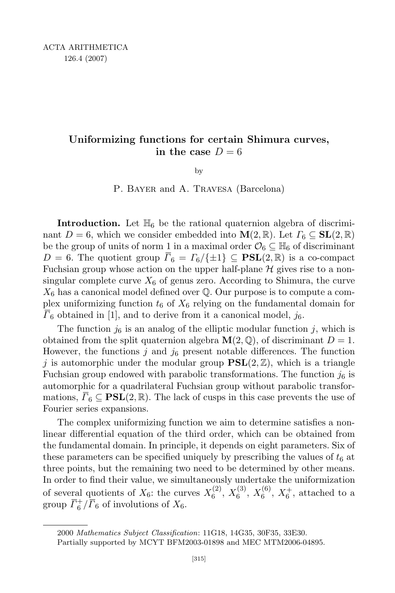## Uniformizing functions for certain Shimura curves, in the case  $D = 6$

by

P. BAYER and A. TRAVESA (Barcelona)

**Introduction.** Let  $\mathbb{H}_6$  be the rational quaternion algebra of discriminant  $D = 6$ , which we consider embedded into  $\mathbf{M}(2, \mathbb{R})$ . Let  $\Gamma_6 \subseteq \mathbf{SL}(2, \mathbb{R})$ . be the group of units of norm 1 in a maximal order  $\mathcal{O}_6 \subseteq \mathbb{H}_6$  of discriminant  $D = 6$ . The quotient group  $\overline{\Gamma}_6 = \Gamma_6 / \{\pm 1\} \subseteq \textbf{PSL}(2, \mathbb{R})$  is a co-compact Fuchsian group whose action on the upper half-plane  $\mathcal H$  gives rise to a nonsingular complete curve  $X_6$  of genus zero. According to Shimura, the curve  $X_6$  has a canonical model defined over  $\mathbb Q$ . Our purpose is to compute a complex uniformizing function  $t_6$  of  $X_6$  relying on the fundamental domain for  $\overline{\Gamma}_6$  obtained in [1], and to derive from it a canonical model,  $j_6$ .

The function  $j_6$  is an analog of the elliptic modular function j, which is obtained from the split quaternion algebra  $\mathbf{M}(2,\mathbb{Q})$ , of discriminant  $D=1$ . However, the functions  $j$  and  $j_6$  present notable differences. The function j is automorphic under the modular group  $PSL(2, \mathbb{Z})$ , which is a triangle Fuchsian group endowed with parabolic transformations. The function  $j_6$  is automorphic for a quadrilateral Fuchsian group without parabolic transformations,  $\Gamma_6 \subseteq \textbf{PSL}(2,\mathbb{R})$ . The lack of cusps in this case prevents the use of Fourier series expansions.

The complex uniformizing function we aim to determine satisfies a nonlinear differential equation of the third order, which can be obtained from the fundamental domain. In principle, it depends on eight parameters. Six of these parameters can be specified uniquely by prescribing the values of  $t<sub>6</sub>$  at three points, but the remaining two need to be determined by other means. In order to find their value, we simultaneously undertake the uniformization of several quotients of  $X_6$ : the curves  $X_6^{(2)}$  $\binom{(2)}{6}, X_6^{(3)}$  $\binom{(3)}{6}, X_6^{(6)}$  $X_6^{(6)}$ ,  $X_6^+$ , attached to a group  $\overline{\Gamma_6^+}/\overline{\Gamma_6}$  of involutions of  $X_6$ .

<sup>2000</sup> Mathematics Subject Classification: 11G18, 14G35, 30F35, 33E30.

Partially supported by MCYT BFM2003-01898 and MEC MTM2006-04895.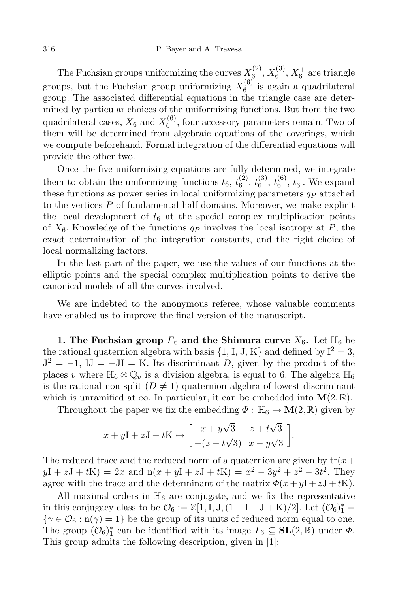The Fuchsian groups uniformizing the curves  $X_6^{(2)}$  $\chi_6^{(2)},X_6^{(3)}$  $\chi_6^{(3)}$ ,  $X_6^+$  are triangle groups, but the Fuchsian group uniformizing  $X_6^{(6)}$  $6^{(0)}$  is again a quadrilateral group. The associated differential equations in the triangle case are determined by particular choices of the uniformizing functions. But from the two quadrilateral cases,  $X_6$  and  $X_6^{(6)}$  $6<sup>(0)</sup>$ , four accessory parameters remain. Two of them will be determined from algebraic equations of the coverings, which we compute beforehand. Formal integration of the differential equations will provide the other two.

Once the five uniformizing equations are fully determined, we integrate them to obtain the uniformizing functions  $t_6, t_6^{(2)}$  $\begin{smallmatrix} (2)\ 6 \end{smallmatrix}, \begin{smallmatrix} t^{(3)} \ 6 \end{smallmatrix}$  $\mathit{t}_6^{(3)},\mathit{t}_6^{(6)}$  $_6^{(6)}$ ,  $t_6^+$ . We expand these functions as power series in local uniformizing parameters  $q_P$  attached to the vertices  $P$  of fundamental half domains. Moreover, we make explicit the local development of  $t_6$  at the special complex multiplication points of  $X_6$ . Knowledge of the functions  $q_P$  involves the local isotropy at P, the exact determination of the integration constants, and the right choice of local normalizing factors.

In the last part of the paper, we use the values of our functions at the elliptic points and the special complex multiplication points to derive the canonical models of all the curves involved.

We are indebted to the anonymous referee, whose valuable comments have enabled us to improve the final version of the manuscript.

1. The Fuchsian group  $\overline{\Gamma}_6$  and the Shimura curve  $X_6$ . Let  $\mathbb{H}_6$  be the rational quaternion algebra with basis  $\{1, I, J, K\}$  and defined by  $I^2 = 3$ ,  $J^2 = -1$ ,  $IJ = -JI = K$ . Its discriminant D, given by the product of the places v where  $\mathbb{H}_6 \otimes \mathbb{Q}_v$  is a division algebra, is equal to 6. The algebra  $\mathbb{H}_6$ is the rational non-split  $(D \neq 1)$  quaternion algebra of lowest discriminant which is unramified at  $\infty$ . In particular, it can be embedded into  $\mathbf{M}(2,\mathbb{R})$ .

Throughout the paper we fix the embedding  $\Phi : \mathbb{H}_6 \to \mathbf{M}(2,\mathbb{R})$  given by

$$
x + yI + zJ + tK \mapsto \begin{bmatrix} x + y\sqrt{3} & z + t\sqrt{3} \\ -(z - t\sqrt{3}) & x - y\sqrt{3} \end{bmatrix}.
$$

The reduced trace and the reduced norm of a quaternion are given by  $tr(x+)$  $yI + zJ + tK$  = 2x and  $n(x + yI + zJ + tK) = x^2 - 3y^2 + z^2 - 3t^2$ . They agree with the trace and the determinant of the matrix  $\Phi(x+yI+zJ+tK)$ .

All maximal orders in  $\mathbb{H}_6$  are conjugate, and we fix the representative in this conjugacy class to be  $\mathcal{O}_6 := \mathbb{Z}[1, I, J, (1 + I + J + K)/2]$ . Let  $(\mathcal{O}_6)_1^* =$  $\{\gamma \in \mathcal{O}_6 : n(\gamma) = 1\}$  be the group of its units of reduced norm equal to one. The group  $(\mathcal{O}_6)^*_1$ <sup>\*</sup><sub>1</sub> can be identified with its image  $\Gamma_6 \subseteq SL(2,\mathbb{R})$  under  $\Phi$ . This group admits the following description, given in [1]: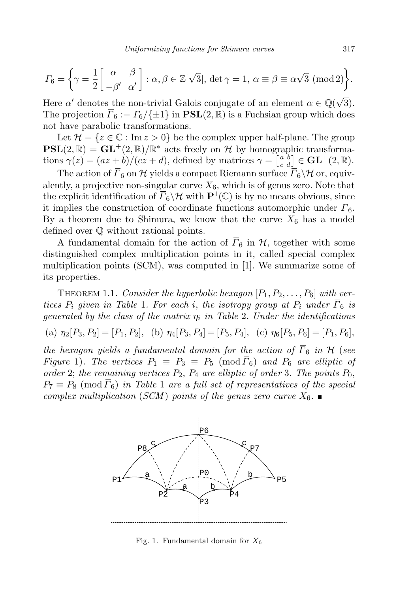$$
\Gamma_6 = \left\{ \gamma = \frac{1}{2} \begin{bmatrix} \alpha & \beta \\ -\beta' & \alpha' \end{bmatrix} : \alpha, \beta \in \mathbb{Z}[\sqrt{3}], \det \gamma = 1, \alpha \equiv \beta \equiv \alpha \sqrt{3} \; (\text{mod } 2) \right\}.
$$

Here  $\alpha'$  denotes the non-trivial Galois conjugate of an element  $\alpha \in \mathbb{Q}(\sqrt{3})$ . The projection  $\overline{\Gamma}_6 := \Gamma_6 / \{\pm 1\}$  in  $\mathbf{PSL}(2, \mathbb{R})$  is a Fuchsian group which does not have parabolic transformations.

Let  $\mathcal{H} = \{z \in \mathbb{C} : \text{Im } z > 0\}$  be the complex upper half-plane. The group  $PSL(2, \mathbb{R}) = GL^+(2, \mathbb{R})/\mathbb{R}^*$  acts freely on H by homographic transformations  $\gamma(z) = (az + b)/(cz + d)$ , defined by matrices  $\gamma = \begin{bmatrix} a & b \\ c & d \end{bmatrix} \in \mathbf{GL}^+(2, \mathbb{R})$ .

The action of  $\overline{\Gamma}_6$  on H yields a compact Riemann surface  $\overline{\Gamma}_6\backslash\mathcal{H}$  or, equivalently, a projective non-singular curve  $X_6$ , which is of genus zero. Note that the explicit identification of  $\overline{\Gamma}_6 \backslash \mathcal{H}$  with  $\mathbf{P}^1(\mathbb{C})$  is by no means obvious, since it implies the construction of coordinate functions automorphic under  $\overline{\Gamma}_6$ . By a theorem due to Shimura, we know that the curve  $X_6$  has a model defined over Q without rational points.

A fundamental domain for the action of  $\overline{\Gamma}_6$  in  $\mathcal{H}$ , together with some distinguished complex multiplication points in it, called special complex multiplication points (SCM), was computed in [1]. We summarize some of its properties.

THEOREM 1.1. Consider the hyperbolic hexagon  $[P_1, P_2, \ldots, P_6]$  with vertices  $P_i$  given in Table 1. For each i, the isotropy group at  $P_i$  under  $\overline{\Gamma}_6$  is generated by the class of the matrix  $\eta_i$  in Table 2. Under the identifications

(a) 
$$
\eta_2[P_3, P_2] = [P_1, P_2]
$$
, (b)  $\eta_4[P_3, P_4] = [P_5, P_4]$ , (c)  $\eta_6[P_5, P_6] = [P_1, P_6]$ ,

the hexagon yields a fundamental domain for the action of  $\overline{\Gamma}_6$  in H (see Figure 1). The vertices  $P_1 \equiv P_3 \equiv P_5 \pmod{\overline{P_6}}$  and  $P_6$  are elliptic of order 2; the remaining vertices  $P_2$ ,  $P_4$  are elliptic of order 3. The points  $P_0$ ,  $P_7 \equiv P_8 \pmod{\overline{F}_6}$  in Table 1 are a full set of representatives of the special complex multiplication (SCM) points of the genus zero curve  $X_6$ .



Fig. 1. Fundamental domain for  $X_6$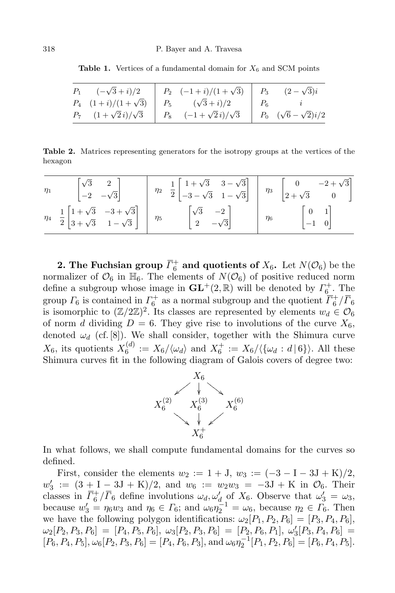Table 1. Vertices of a fundamental domain for  $X_6$  and SCM points

| $P_1 \quad (-\sqrt{3}+i)/2$    | $P_2 \quad (-1+i)/(1+\sqrt{3}) \quad P_3$ |       | $(2-\sqrt{3})i$                    |
|--------------------------------|-------------------------------------------|-------|------------------------------------|
| $P_4$ $(1+i)/(1+\sqrt{3})$     | $P_5 \qquad (\sqrt{3}+i)/2$               | $P_6$ |                                    |
| $P_7$ $(1+\sqrt{2}i)/\sqrt{3}$ | $P_8 \quad (-1+\sqrt{2}i)/\sqrt{3}$       |       | $P_0 \quad (\sqrt{6}-\sqrt{2})i/2$ |

Table 2. Matrices representing generators for the isotropy groups at the vertices of the hexagon

| $\eta_1$ | $\begin{bmatrix} \sqrt{3} & 2 \\ -2 & -\sqrt{3} \end{bmatrix}$                                             |          | $\eta_2$ $\frac{1}{2}$ $\begin{bmatrix} 1+\sqrt{3} & 3-\sqrt{3} \\ -3-\sqrt{3} & 1-\sqrt{3} \end{bmatrix}$ | $\eta_3$ | $\begin{bmatrix} 0 & -2 + \sqrt{3} \\ 2 + \sqrt{3} & 0 \end{bmatrix}$ |
|----------|------------------------------------------------------------------------------------------------------------|----------|------------------------------------------------------------------------------------------------------------|----------|-----------------------------------------------------------------------|
|          | $\eta_4$ $\frac{1}{2}$ $\begin{bmatrix} 1+\sqrt{3} & -3+\sqrt{3} \\ 3+\sqrt{3} & 1-\sqrt{3} \end{bmatrix}$ | $\eta_5$ | $\begin{bmatrix} \sqrt{3} & -2 \\ 2 & -\sqrt{3} \end{bmatrix}$                                             | $\eta_6$ | $\begin{bmatrix} 0 & 1 \\ -1 & 0 \end{bmatrix}$                       |

**2.** The Fuchsian group  $\overline{\Gamma}_6^+$  and quotients of  $X_6$ . Let  $N(\mathcal{O}_6)$  be the normalizer of  $\mathcal{O}_6$  in  $\mathbb{H}_6$ . The elements of  $N(\mathcal{O}_6)$  of positive reduced norm define a subgroup whose image in  $\mathbf{GL}^{+}(2,\mathbb{R})$  will be denoted by  $\Gamma_{6}^{+}$ . The group  $\Gamma_6$  is contained in  $\Gamma_6^+$  as a normal subgroup and the quotient  $\overline{\Gamma}_6^+/\overline{\Gamma}_6$ is isomorphic to  $(\mathbb{Z}/2\mathbb{Z})^2$ . Its classes are represented by elements  $w_d \in \mathcal{O}_6$ of norm d dividing  $D = 6$ . They give rise to involutions of the curve  $X_6$ , denoted  $\omega_d$  (cf. [8]). We shall consider, together with the Shimura curve  $X_6$ , its quotients  $X_6^{(d)}$  $S_6^{(d)} := X_6/\langle \omega_d \rangle$  and  $X_6^+ := X_6/\langle \{\omega_d : d \, | \, 6\} \rangle$ . All these Shimura curves fit in the following diagram of Galois covers of degree two:



In what follows, we shall compute fundamental domains for the curves so defined.

First, consider the elements  $w_2 := 1 + J$ ,  $w_3 := (-3 - I - 3J + K)/2$ ,  $w'_{\varepsilon}$  $y_3' := (3 + I - 3J + K)/2$ , and  $w_6 := w_2w_3 = -3J + K$  in  $\mathcal{O}_6$ . Their classes in  $\overline{\Gamma}_6^+/\overline{\Gamma}_6$  define involutions  $\omega_d, \omega'_d$  of  $X_6$ . Observe that  $\omega'_3 = \omega_3$ , because  $w'_3 = \eta_6 w_3$  and  $\eta_6 \in \Gamma_6$ ; and  $\omega_6 \eta_2^{-1} = \omega_6$ , because  $\eta_2 \in \Gamma_6$ . Then we have the following polygon identifications:  $\omega_2[P_1, P_2, P_6] = [P_3, P_4, P_6]$ ,  $\omega_2[P_2,P_3,P_6]\,=\,[P_4,P_5,P_6],\ \omega_3[P_2,P_3,P_6]\,=\,[P_2,P_6,P_1],\ \omega_3^{\prime\prime}% [\omega_{\alpha}^{\prime}]\,=\,(P_4,\omega_{\alpha}^{\prime})\,\,.\label{2.10}$  $S_3[P_3, P_4, P_6] =$  $[P_6, P_4, P_5], \omega_6[P_2, P_3, P_6] = [P_4, P_6, P_3], \text{ and } \omega_6\eta_2^{-1}[P_1, P_2, P_6] = [P_6, P_4, P_5].$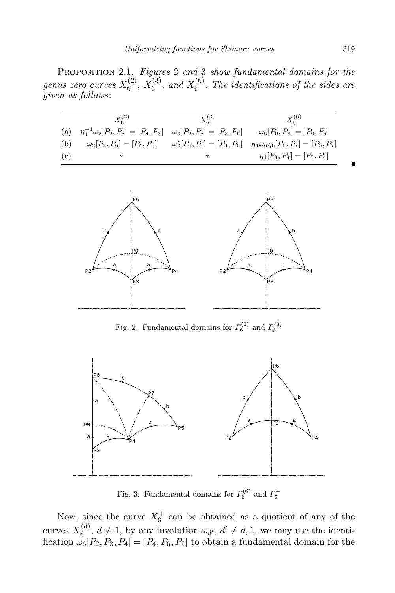PROPOSITION 2.1. Figures 2 and 3 show fundamental domains for the genus zero curves  $X_6^{(2)}$  $\chi_6^{(2)},\,\chi_6^{(3)}$  $\chi_6^{(3)}$ , and  $X_6^{(6)}$  $6<sup>(0)</sup>$ . The identifications of the sides are given as follows:

|     | $X_6^{(2)}$                              | $X_6^{(3)}$                       | $X_6^{(6)}$                                   |
|-----|------------------------------------------|-----------------------------------|-----------------------------------------------|
| (a) | $\eta_4^{-1}\omega_2[P_2,P_3]=[P_4,P_3]$ | $\omega_3[P_2, P_3] = [P_2, P_6]$ | $\omega_6[P_0, P_3] = [P_0, P_6]$             |
| (b) | $\omega_2[P_2, P_6] = [P_4, P_6]$        | $\omega'_3[P_4,P_3] = [P_4,P_6]$  | $\eta_4\omega_6\eta_6[P_6, P_7] = [P_5, P_7]$ |
| (c) | ∗                                        | ∗                                 | $\eta_4[P_3, P_4] = [P_5, P_4]$               |



Fig. 2. Fundamental domains for  $\Gamma_6^{(2)}$  and  $\Gamma_6^{(3)}$ 



Fig. 3. Fundamental domains for  $\Gamma_6^{(6)}$  and  $\Gamma_6^+$ 

Now, since the curve  $X_6^+$  can be obtained as a quotient of any of the curves  $X_6^{(d)}$  $\mathbf{a}_{6}^{(d)}$ ,  $d \neq 1$ , by any involution  $\omega_{d'}$ ,  $d' \neq d, 1$ , we may use the identification  $\omega_6[P_2, P_3, P_4] = [P_4, P_6, P_2]$  to obtain a fundamental domain for the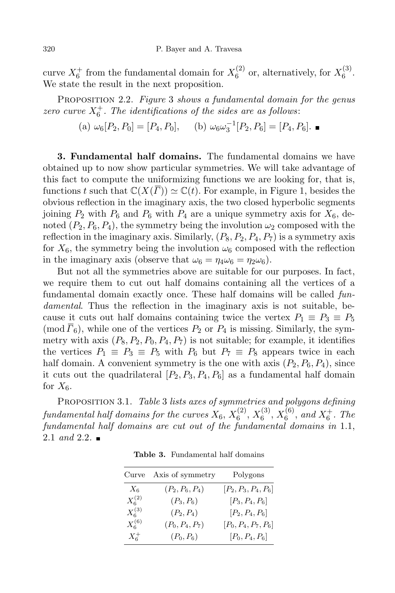curve  $X_6^+$  from the fundamental domain for  $X_6^{(2)}$  $\chi_6^{(2)}$  or, alternatively, for  $X_6^{(3)}$  $\stackrel{\text{\tiny (1)}}{6}$ . We state the result in the next proposition.

PROPOSITION 2.2. Figure 3 shows a fundamental domain for the genus zero curve  $X_6^+$ . The identifications of the sides are as follows:

(a) 
$$
\omega_6[P_2, P_0] = [P_4, P_0],
$$
 (b)  $\omega_6 \omega_3^{-1}[P_2, P_6] = [P_4, P_6].$ 

3. Fundamental half domains. The fundamental domains we have obtained up to now show particular symmetries. We will take advantage of this fact to compute the uniformizing functions we are looking for, that is, functions t such that  $\mathbb{C}(X(\overline{\Gamma})) \simeq \mathbb{C}(t)$ . For example, in Figure 1, besides the obvious reflection in the imaginary axis, the two closed hyperbolic segments joining  $P_2$  with  $P_6$  and  $P_6$  with  $P_4$  are a unique symmetry axis for  $X_6$ , denoted  $(P_2, P_6, P_4)$ , the symmetry being the involution  $\omega_2$  composed with the reflection in the imaginary axis. Similarly,  $(P_8, P_2, P_4, P_7)$  is a symmetry axis for  $X_6$ , the symmetry being the involution  $\omega_6$  composed with the reflection in the imaginary axis (observe that  $\omega_6 = \eta_4 \omega_6 = \eta_2 \omega_6$ ).

But not all the symmetries above are suitable for our purposes. In fact, we require them to cut out half domains containing all the vertices of a fundamental domain exactly once. These half domains will be called fundamental. Thus the reflection in the imaginary axis is not suitable, because it cuts out half domains containing twice the vertex  $P_1 \equiv P_3 \equiv P_5$ (mod  $\overline{F}_6$ ), while one of the vertices  $P_2$  or  $P_4$  is missing. Similarly, the symmetry with axis  $(P_8, P_2, P_0, P_4, P_7)$  is not suitable; for example, it identifies the vertices  $P_1 \equiv P_3 \equiv P_5$  with  $P_6$  but  $P_7 \equiv P_8$  appears twice in each half domain. A convenient symmetry is the one with axis  $(P_2, P_6, P_4)$ , since it cuts out the quadrilateral  $[P_2, P_3, P_4, P_6]$  as a fundamental half domain for  $X_6$ .

PROPOSITION 3.1. Table 3 lists axes of symmetries and polygons defining fundamental half domains for the curves  $X_6,\,X_6^{(2)}$  $\binom{(2)}{6}, X_6^{(3)}$  $\binom{(3)}{6}, X_6^{(6)}$  $_{6}^{(6)}$ , and  $X_{6}^{+}$ . The fundamental half domains are cut out of the fundamental domains in 1.1, 2.1 and 2.2.

| Curve       | Axis of symmetry  | Polygons               |
|-------------|-------------------|------------------------|
| $X_6$       | $(P_2, P_6, P_4)$ | $[P_2, P_3, P_4, P_6]$ |
| $X_6^{(2)}$ | $(P_3, P_6)$      | $[P_3, P_4, P_6]$      |
| $X_6^{(3)}$ | $(P_2, P_4)$      | $[P_2, P_4, P_6]$      |
| $X_6^{(6)}$ | $(P_0, P_4, P_7)$ | $[P_0, P_4, P_7, P_6]$ |
| $X_6^+$     | $(P_0, P_6)$      | $[P_0, P_4, P_6]$      |

Table 3. Fundamental half domains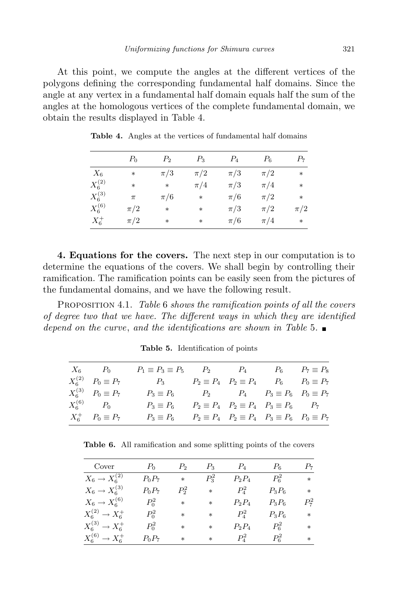At this point, we compute the angles at the different vertices of the polygons defining the corresponding fundamental half domains. Since the angle at any vertex in a fundamental half domain equals half the sum of the angles at the homologous vertices of the complete fundamental domain, we obtain the results displayed in Table 4.

|             | $P_0$   | P <sub>2</sub> | $P_3$   | $P_4$   | $P_6$   | $P_7$   |
|-------------|---------|----------------|---------|---------|---------|---------|
| $X_6$       | $\ast$  | $\pi/3$        | $\pi/2$ | $\pi/3$ | $\pi/2$ | $\ast$  |
| $X_6^{(2)}$ | $\ast$  | $\ast$         | $\pi/4$ | $\pi/3$ | $\pi/4$ | $\ast$  |
| $X_6^{(3)}$ | $\pi$   | $\pi/6$        | *       | $\pi/6$ | $\pi/2$ | $\ast$  |
| $X_6^{(6)}$ | $\pi/2$ | $\ast$         | $*$     | $\pi/3$ | $\pi/2$ | $\pi/2$ |
| $X_6^+$     | $\pi/2$ | $\ast$         | $*$     | $\pi/6$ | $\pi/4$ | $\ast$  |

Table 4. Angles at the vertices of fundamental half domains

4. Equations for the covers. The next step in our computation is to determine the equations of the covers. We shall begin by controlling their ramification. The ramification points can be easily seen from the pictures of the fundamental domains, and we have the following result.

PROPOSITION 4.1. Table 6 shows the ramification points of all the covers of degree two that we have. The different ways in which they are identified depend on the curve, and the identifications are shown in Table 5.  $\blacksquare$ 

| $X_6$ $P_0$                  | $P_1 \equiv P_3 \equiv P_5$ $P_2$ $P_4$ $P_6$ $P_7 \equiv P_8$                       |  |  |
|------------------------------|--------------------------------------------------------------------------------------|--|--|
| $X_6^{(2)}$ $P_0 \equiv P_7$ | $P_3 \t P_2 \equiv P_4 \t P_2 \equiv P_4 \t P_6 \t P_0 \equiv P_7$                   |  |  |
| $X_6^{(3)}$ $P_0 \equiv P_7$ | $P_3 \equiv P_6$ $P_2$ $P_4$ $P_3 \equiv P_6$ $P_0 \equiv P_7$                       |  |  |
| $X_6^{(6)}$ $P_0$            | $P_3 \equiv P_6$ $P_2 \equiv P_4$ $P_2 \equiv P_4$ $P_3 \equiv P_6$ $P_7$            |  |  |
| $X_6^+$ $P_0 \equiv P_7$     | $P_3 \equiv P_6$ $P_2 \equiv P_4$ $P_2 \equiv P_4$ $P_3 \equiv P_6$ $P_0 \equiv P_7$ |  |  |

Table 5. Identification of points

Table 6. All ramification and some splitting points of the covers

| Cover                       | $P_0$    | P,        | $P_3$   | $P_4$    | $P_{\rm 6}$ | $P_7$   |
|-----------------------------|----------|-----------|---------|----------|-------------|---------|
| $X_6 \rightarrow X_6^{(2)}$ | $P_0P_7$ | $\ast$    | $P_3^2$ | $P_2P_4$ | $P_6^2$     | $\ast$  |
| $X_6 \to X_6^{(3)}$         | $P_0P_7$ | $P^2_{2}$ | $\ast$  | $P_4^2$  | $P_3P_6$    | $\ast$  |
| $X_6 \rightarrow X_6^{(6)}$ | $P_0^2$  | $*$       | $*$     | $P_2P_4$ | $P_3P_6$    | $P_7^2$ |
| $X_6^{(2)} \to X_6^+$       | $P_0^2$  | $*$       | $\ast$  | $P_4^2$  | $P_3P_6$    | $\ast$  |
| $X_6^{(3)} \to X_6^+$       | $P_0^2$  | $*$       | $\ast$  | $P_2P_4$ | $P_6^2$     | *       |
| $X_6^{(6)} \to X_6^+$       | $P_0P_7$ | $\ast$    | $*$     | $P_4^2$  | $P_6^2$     | $\ast$  |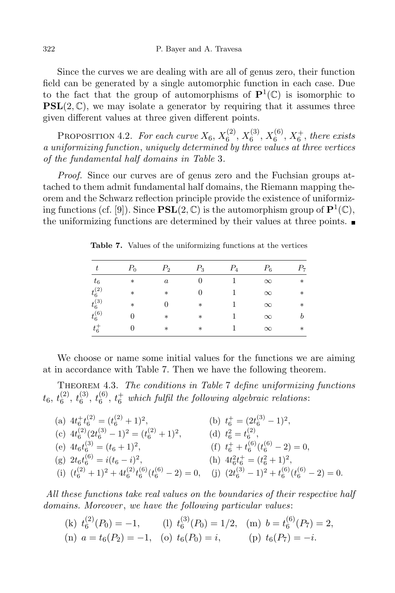Since the curves we are dealing with are all of genus zero, their function field can be generated by a single automorphic function in each case. Due to the fact that the group of automorphisms of  $\mathbf{P}^1(\mathbb{C})$  is isomorphic to  $PSL(2, \mathbb{C})$ , we may isolate a generator by requiring that it assumes three given different values at three given different points.

PROPOSITION 4.2. For each curve  $X_6, X_6^{(2)}$  $\binom{(2)}{6}, X_6^{(3)}$  $\chi_6^{(3)},X_6^{(6)}$  $_{6}^{(6)}, X_{6}^{+},$  there exists a uniformizing function, uniquely determined by three values at three vertices of the fundamental half domains in Table 3.

Proof. Since our curves are of genus zero and the Fuchsian groups attached to them admit fundamental half domains, the Riemann mapping theorem and the Schwarz reflection principle provide the existence of uniformizing functions (cf. [9]). Since  $\mathbf{PSL}(2,\mathbb{C})$  is the automorphism group of  $\mathbf{P}^1(\mathbb{C}),$ the uniformizing functions are determined by their values at three points.

| t                              | $P_0$  | $P_{2}$          | $P_3$  | $P_4$ | $P_6$    | $P_7$  |
|--------------------------------|--------|------------------|--------|-------|----------|--------|
| $t_{\rm 6}$                    | $\ast$ | $\boldsymbol{a}$ | 0      |       | $\infty$ | $\ast$ |
| $t^{(2)}_{6}$<br>$t^{(3)}_{6}$ | $\ast$ | $\ast$           | 0      |       | $\infty$ | $\ast$ |
|                                | $\ast$ | $\Omega$         | $\ast$ |       | $\infty$ | $\ast$ |
| $t_6^{(6)}$                    | 0      | $\ast$           | $\ast$ |       | $\infty$ | b      |
| $t_6^+$                        | 0      | $\ast$           | $\ast$ |       | $\infty$ | $\ast$ |

Table 7. Values of the uniformizing functions at the vertices

We choose or name some initial values for the functions we are aiming at in accordance with Table 7. Then we have the following theorem.

THEOREM 4.3. The conditions in Table 7 define uniformizing functions  $t_{6},\,t_{6}^{(2)}$  $\binom{2}{6},\ t_6^{(3)}$  $\mathfrak{t}_6^{(3)},\,\mathfrak{t}_6^{(6)}$  $_6^{(6)}$ ,  $t_6^+$  which fulfil the following algebraic relations:

(a)  $4t_6^+ t_6^{(2)} = (t_6^{(2)} + 1)^2$ ,<br>(b)  $t_6^+ = (2t_6^{(3)} - 1)^2$ , (c)  $4t_6^{(2)}(2t_6^{(3)} - 1)^2 = (t_6^{(2)} + 1)^2$ , (d)  $t_6^2 = t_6^{(2)}$ , (e)  $4t_6t_6^{(3)} = (t_6 + 1)^2$ , <br>(f)  $t_6^+ + t_6^{(6)}(t_6^{(6)} - 2) = 0$ , (g)  $2t_6t_6^{(6)} = i(t_6 - i)^2$ , <br>(h)  $4t_6^2t_6^+ = (t_6^2 + 1)^2$ , (i)  $(t_6^{(2)} + 1)^2 + 4t_6^{(2)}t_6^{(6)}(t_6^{(6)} - 2) = 0$ , (j)  $(2t_6^{(3)} - 1)^2 + t_6^{(6)}(t_6^{(6)} - 2) = 0$ .

All these functions take real values on the boundaries of their respective half domains. Moreover, we have the following particular values:

 $(k) t_6^{(2)}$  $\binom{2}{6}(P_0) = -1,$  (l)  $t_6^{(3)}$  $f_6^{(3)}(P_0) = 1/2,$  (m)  $b = t_6^{(6)}$  $b_6^{(0)}(P_7)=2,$ (n)  $a = t_6(P_2) = -1$ , (o)  $t_6(P_0) = i$ , (p)  $t_6(P_7) = -i$ .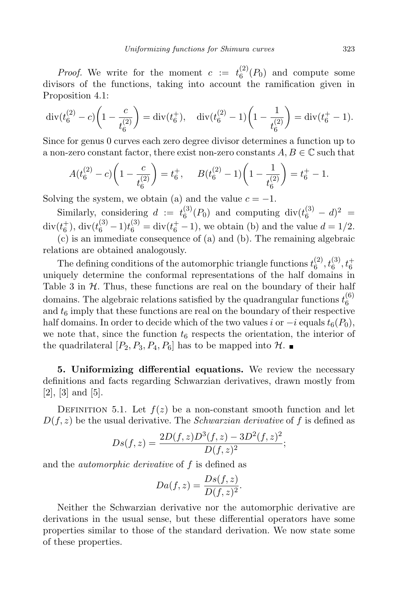*Proof.* We write for the moment  $c := t_6^{(2)}$  $6^{27}(P_0)$  and compute some divisors of the functions, taking into account the ramification given in Proposition 4.1:

$$
\operatorname{div}(t_6^{(2)} - c)\left(1 - \frac{c}{t_6^{(2)}}\right) = \operatorname{div}(t_6^+), \quad \operatorname{div}(t_6^{(2)} - 1)\left(1 - \frac{1}{t_6^{(2)}}\right) = \operatorname{div}(t_6^+ - 1).
$$

Since for genus 0 curves each zero degree divisor determines a function up to a non-zero constant factor, there exist non-zero constants  $A, B \in \mathbb{C}$  such that

$$
A(t_6^{(2)} - c)\left(1 - \frac{c}{t_6^{(2)}}\right) = t_6^+, \qquad B(t_6^{(2)} - 1)\left(1 - \frac{1}{t_6^{(2)}}\right) = t_6^+ - 1.
$$

Solving the system, we obtain (a) and the value  $c = -1$ .

Similarly, considering  $d := t_6^{(3)}$  $^{(3)}_{6}(P_0)$  and computing div $(t_6^{(3)} - d)^2$  = div( $t_6^{\pm}$ ), div( $t_6^{(3)} - 1$ ) $t_6^{(3)} = \text{div}(t_6^{\pm} - 1)$ , we obtain (b) and the value  $d = 1/2$ .

(c) is an immediate consequence of (a) and (b). The remaining algebraic relations are obtained analogously.

The defining conditions of the automorphic triangle functions  $t_6^{(2)}$  $\binom{(2)}{6},\binom{(3)}{6},\binom{+}{6}$ uniquely determine the conformal representations of the half domains in Table 3 in  $H$ . Thus, these functions are real on the boundary of their half domains. The algebraic relations satisfied by the quadrangular functions  $t_6^{(6)}$ 6 and  $t<sub>6</sub>$  imply that these functions are real on the boundary of their respective half domains. In order to decide which of the two values i or  $-i$  equals  $t_6(P_0)$ , we note that, since the function  $t_6$  respects the orientation, the interior of the quadrilateral  $[P_2, P_3, P_4, P_6]$  has to be mapped into  $\mathcal{H}$ .

5. Uniformizing differential equations. We review the necessary definitions and facts regarding Schwarzian derivatives, drawn mostly from [2], [3] and [5].

DEFINITION 5.1. Let  $f(z)$  be a non-constant smooth function and let  $D(f, z)$  be the usual derivative. The *Schwarzian derivative* of f is defined as

$$
Ds(f,z) = \frac{2D(f,z)D^3(f,z) - 3D^2(f,z)^2}{D(f,z)^2};
$$

and the *automorphic derivative* of f is defined as

$$
Da(f, z) = \frac{Ds(f, z)}{D(f, z)^2}.
$$

Neither the Schwarzian derivative nor the automorphic derivative are derivations in the usual sense, but these differential operators have some properties similar to those of the standard derivation. We now state some of these properties.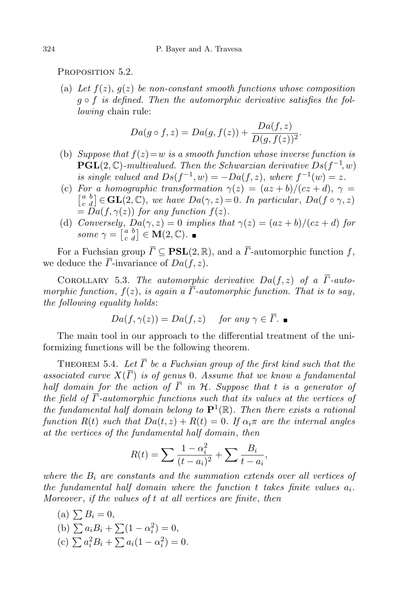PROPOSITION 5.2.

(a) Let  $f(z)$ ,  $q(z)$  be non-constant smooth functions whose composition  $q \circ f$  is defined. Then the automorphic derivative satisfies the following chain rule:

$$
Da(g \circ f, z) = Da(g, f(z)) + \frac{Da(f, z)}{D(g, f(z))^{2}}.
$$

- (b) Suppose that  $f(z) = w$  is a smooth function whose inverse function is  $\mathbf{PGL}(2,\mathbb{C})$ -multivalued. Then the Schwarzian derivative  $Ds(f^{-1},w)$ is single valued and  $Ds(f^{-1}, w) = -Da(f, z)$ , where  $f^{-1}(w) = z$ .
- (c) For a homographic transformation  $\gamma(z) = (az + b)/(cz + d), \gamma =$  $\begin{bmatrix} a & b \\ c & d \end{bmatrix} \in \mathbf{GL}(2,\mathbb{C}),$  we have  $Da(\gamma,z) = 0$ . In particular,  $Da(f \circ \gamma, z)$  $= Da(f, \gamma(z))$  for any function  $f(z)$ .
- (d) Conversely,  $Da(\gamma, z) = 0$  implies that  $\gamma(z) = (az + b)/(cz + d)$  for some  $\gamma = \begin{bmatrix} a & b \\ c & d \end{bmatrix} \in \mathbf{M}(2, \mathbb{C}).$

For a Fuchsian group  $\overline{\Gamma} \subset \textbf{PSL}(2,\mathbb{R})$ , and a  $\overline{\Gamma}$ -automorphic function f, we deduce the  $\overline{\Gamma}$ -invariance of  $Da(f, z)$ .

COROLLARY 5.3. The automorphic derivative  $Da(f, z)$  of a  $\overline{\Gamma}$ -automorphic function,  $f(z)$ , is again a  $\overline{\Gamma}$ -automorphic function. That is to say, the following equality holds:

$$
Da(f, \gamma(z)) = Da(f, z) \quad \text{ for any } \gamma \in \overline{\Gamma}.
$$

The main tool in our approach to the differential treatment of the uniformizing functions will be the following theorem.

THEOREM 5.4. Let  $\overline{\Gamma}$  be a Fuchsian group of the first kind such that the associated curve  $X(\overline{\Gamma})$  is of genus 0. Assume that we know a fundamental half domain for the action of  $\overline{\Gamma}$  in H. Suppose that t is a generator of the field of  $\overline{\Gamma}$ -automorphic functions such that its values at the vertices of the fundamental half domain belong to  $\mathbf{P}^1(\mathbb{R})$ . Then there exists a rational function  $R(t)$  such that  $Da(t, z) + R(t) = 0$ . If  $\alpha_i \pi$  are the internal angles at the vertices of the fundamental half domain, then

$$
R(t) = \sum \frac{1 - \alpha_i^2}{(t - a_i)^2} + \sum \frac{B_i}{t - a_i},
$$

where the  $B_i$  are constants and the summation extends over all vertices of the fundamental half domain where the function t takes finite values  $a_i$ . Moreover , if the values of t at all vertices are finite, then

(a)  $\sum B_i = 0$ , (b)  $\sum a_i B_i + \sum (1 - \alpha_i^2) = 0,$ (c)  $\sum a_i^2 B_i + \sum a_i (1 - \alpha_i^2) = 0.$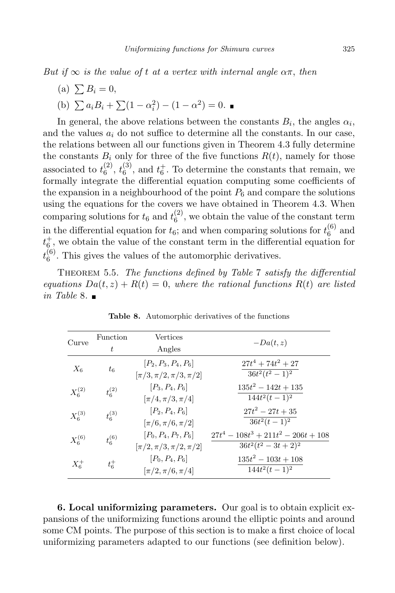But if  $\infty$  is the value of t at a vertex with internal angle  $\alpha\pi$ , then

(a)  $\sum B_i = 0$ , (b)  $\sum a_i B_i + \sum (1 - \alpha_i^2) - (1 - \alpha^2) = 0.$ 

In general, the above relations between the constants  $B_i$ , the angles  $\alpha_i$ , and the values  $a_i$  do not suffice to determine all the constants. In our case, the relations between all our functions given in Theorem 4.3 fully determine the constants  $B_i$  only for three of the five functions  $R(t)$ , namely for those associated to  $t_6^{(2)}$  $\begin{smallmatrix} (2)\ 6 \end{smallmatrix},t^{(3)}_6$  $\binom{3}{6}$ , and  $t_6^+$ . To determine the constants that remain, we formally integrate the differential equation computing some coefficients of the expansion in a neighbourhood of the point  $P_6$  and compare the solutions using the equations for the covers we have obtained in Theorem 4.3. When comparing solutions for  $t_6$  and  $t_6^{(2)}$  $\binom{1}{6}$ , we obtain the value of the constant term in the differential equation for  $t_6$ ; and when comparing solutions for  $t_6^{(6)}$  $6^{(0)}$  and  $t_{6}^{+}$ , we obtain the value of the constant term in the differential equation for  $t_6^{(6)}$  $_6^{\circ}$ . This gives the values of the automorphic derivatives.

THEOREM 5.5. The functions defined by Table 7 satisfy the differential equations  $Da(t, z) + R(t) = 0$ , where the rational functions  $R(t)$  are listed in Table 8.  $\blacksquare$ 

| Curve       | Function    | Vertices                       | $-Da(t, z)$                            |
|-------------|-------------|--------------------------------|----------------------------------------|
|             | t           | Angles                         |                                        |
| $X_6$       | $t_6$       | $[P_2, P_3, P_4, P_6]$         | $27t^4 + 74t^2 + 27$                   |
|             |             | $[\pi/3, \pi/2, \pi/3, \pi/2]$ | $36t^2(t^2-1)^2$                       |
| $X_6^{(2)}$ | $t_6^{(2)}$ | $[P_3, P_4, P_6]$              | $135t^2 - 142t + 135$                  |
|             |             | $[\pi/4, \pi/3, \pi/4]$        | $144t^2(t-1)^2$                        |
| $X_6^{(3)}$ | $t_6^{(3)}$ | $[P_2, P_4, P_6]$              | $27t^2 - 27t + 35$                     |
|             |             | $[\pi/6, \pi/6, \pi/2]$        | $36t^2(t-1)^2$                         |
| $X_6^{(6)}$ | $t_6^{(6)}$ | $[P_0, P_4, P_7, P_6]$         | $27t^4 - 108t^3 + 211t^2 - 206t + 108$ |
|             |             | $[\pi/2, \pi/3, \pi/2, \pi/2]$ | $36t^2(t^2-3t+2)^2$                    |
| $X_6^+$     | $t_6^+$     | $[P_0, P_4, P_6]$              | $135t^2 - 103t + 108$                  |
|             |             | $[\pi/2, \pi/6, \pi/4]$        | $144t^2(t-1)^2$                        |

Table 8. Automorphic derivatives of the functions

6. Local uniformizing parameters. Our goal is to obtain explicit expansions of the uniformizing functions around the elliptic points and around some CM points. The purpose of this section is to make a first choice of local uniformizing parameters adapted to our functions (see definition below).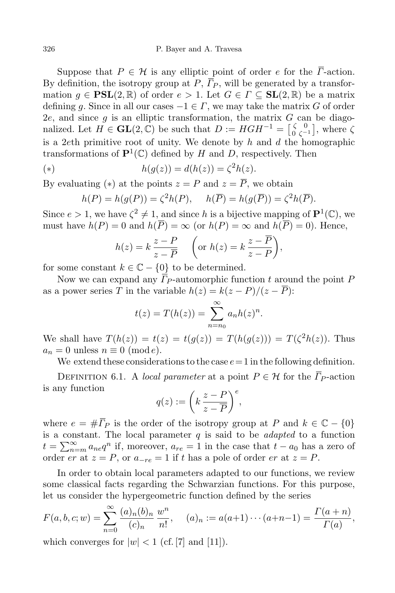Suppose that  $P \in \mathcal{H}$  is any elliptic point of order e for the  $\overline{\Gamma}$ -action. By definition, the isotropy group at P,  $\overline{P}_P$ , will be generated by a transformation  $g \in \text{PSL}(2,\mathbb{R})$  of order  $e > 1$ . Let  $G \in \Gamma \subseteq \text{SL}(2,\mathbb{R})$  be a matrix defining g. Since in all our cases  $-1 \in \Gamma$ , we may take the matrix G of order 2e, and since  $g$  is an elliptic transformation, the matrix  $G$  can be diagonalized. Let  $H \in GL(2,\mathbb{C})$  be such that  $D := HGH^{-1} = \begin{bmatrix} \zeta & 0 \\ 0 & \zeta^{-1} \end{bmatrix}$ , where  $\zeta$ is a 2eth primitive root of unity. We denote by  $h$  and  $d$  the homographic transformations of  $\mathbf{P}^1(\mathbb{C})$  defined by H and D, respectively. Then

(\*) 
$$
h(g(z)) = d(h(z)) = \zeta^2 h(z).
$$

By evaluating (\*) at the points  $z = P$  and  $z = \overline{P}$ , we obtain

$$
h(P) = h(g(P)) = \zeta^2 h(P), \quad h(\overline{P}) = h(g(\overline{P})) = \zeta^2 h(\overline{P}).
$$

Since  $e > 1$ , we have  $\zeta^2 \neq 1$ , and since h is a bijective mapping of  $\mathbf{P}^1(\mathbb{C})$ , we must have  $h(P) = 0$  and  $h(\overline{P}) = \infty$  (or  $h(P) = \infty$  and  $h(\overline{P}) = 0$ ). Hence,

$$
h(z) = k \frac{z - P}{z - \overline{P}} \quad \left( \text{or } h(z) = k \frac{z - P}{z - P} \right),
$$

for some constant  $k \in \mathbb{C} - \{0\}$  to be determined.

Now we can expand any  $\overline{F}_{P}$ -automorphic function t around the point P as a power series T in the variable  $h(z) = k(z - P)/(z - \overline{P})$ :

$$
t(z) = T(h(z)) = \sum_{n=n_0}^{\infty} a_n h(z)^n.
$$

We shall have  $T(h(z)) = t(z) = t(g(z)) = T(h(g(z))) = T(\zeta^2 h(z))$ . Thus  $a_n = 0$  unless  $n \equiv 0 \pmod{e}$ .

We extend these considerations to the case  $e=1$  in the following definition.

DEFINITION 6.1. A local parameter at a point  $P \in \mathcal{H}$  for the  $\overline{\Gamma}_P$ -action is any function

$$
q(z):=\bigg(k\,\frac{z-P}{z-\overline{P}}\bigg)^e,
$$

where  $e = \#\overline{\Gamma}_P$  is the order of the isotropy group at P and  $k \in \mathbb{C} - \{0\}$ is a constant. The local parameter  $q$  is said to be *adapted* to a function  $t = \sum_{n=m}^{\infty} a_{ne} q^n$  if, moreover,  $a_{re} = 1$  in the case that  $t - a_0$  has a zero of order er at  $z = P$ , or  $a_{-re} = 1$  if t has a pole of order er at  $z = P$ .

In order to obtain local parameters adapted to our functions, we review some classical facts regarding the Schwarzian functions. For this purpose, let us consider the hypergeometric function defined by the series

$$
F(a, b, c; w) = \sum_{n=0}^{\infty} \frac{(a)_n (b)_n}{(c)_n} \frac{w^n}{n!}, \quad (a)_n := a(a+1) \cdots (a+n-1) = \frac{\Gamma(a+n)}{\Gamma(a)},
$$

which converges for  $|w| < 1$  (cf. [7] and [11]).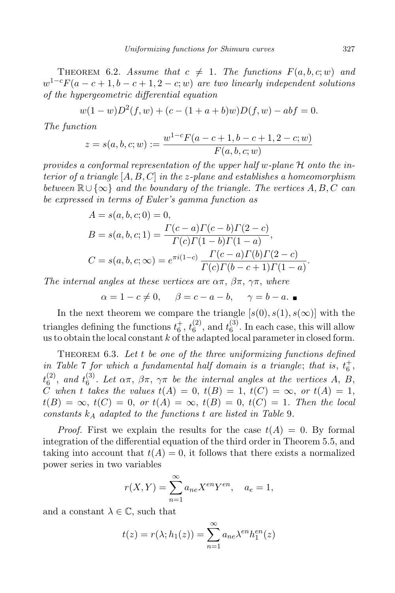THEOREM 6.2. Assume that  $c \neq 1$ . The functions  $F(a, b, c; w)$  and  $w^{1-c}F(a-c+1,b-c+1,2-c;w)$  are two linearly independent solutions of the hypergeometric differential equation

$$
w(1-w)D^{2}(f, w) + (c - (1 + a + b)w)D(f, w) - abf = 0.
$$

The function

$$
z = s(a, b, c; w) := \frac{w^{1-c}F(a - c + 1, b - c + 1, 2 - c; w)}{F(a, b, c; w)}
$$

provides a conformal representation of the upper half w-plane  $\mathcal H$  onto the interior of a triangle  $[A, B, C]$  in the z-plane and establishes a homeomorphism between  $\mathbb{R} \cup {\infty}$  and the boundary of the triangle. The vertices A, B, C can be expressed in terms of Euler's gamma function as

$$
A = s(a, b, c; 0) = 0,
$$
  
\n
$$
B = s(a, b, c; 1) = \frac{\Gamma(c-a)\Gamma(c-b)\Gamma(2-c)}{\Gamma(c)\Gamma(1-b)\Gamma(1-a)},
$$
  
\n
$$
C = s(a, b, c; \infty) = e^{\pi i(1-c)} \frac{\Gamma(c-a)\Gamma(b)\Gamma(2-c)}{\Gamma(c)\Gamma(b-c+1)\Gamma(1-a)}.
$$

The internal angles at these vertices are  $\alpha\pi$ ,  $\beta\pi$ ,  $\gamma\pi$ , where

$$
\alpha = 1 - c \neq 0, \quad \beta = c - a - b, \quad \gamma = b - a.
$$

In the next theorem we compare the triangle  $[s(0), s(1), s(\infty)]$  with the triangles defining the functions  $t_6^+$ ,  $t_6^{(2)}$  $_6^{(2)}$ , and  $t_6^{(3)}$  $6^{(9)}$ . In each case, this will allow us to obtain the local constant  $k$  of the adapted local parameter in closed form.

THEOREM 6.3. Let  $t$  be one of the three uniformizing functions defined in Table 7 for which a fundamental half domain is a triangle; that is,  $t_6^+$ ,  $t_6^{(2)}$  $_{6}^{(2)}$ , and  $t_{6}^{(3)}$  $\int_6^{(5)}$ . Let  $\alpha\pi$ ,  $\beta\pi$ ,  $\gamma\pi$  be the internal angles at the vertices A, B, C when t takes the values  $t(A) = 0, t(B) = 1, t(C) = \infty, or t(A) = 1,$  $t(B) = \infty$ ,  $t(C) = 0$ , or  $t(A) = \infty$ ,  $t(B) = 0$ ,  $t(C) = 1$ . Then the local constants  $k_A$  adapted to the functions t are listed in Table 9.

*Proof.* First we explain the results for the case  $t(A) = 0$ . By formal integration of the differential equation of the third order in Theorem 5.5, and taking into account that  $t(A) = 0$ , it follows that there exists a normalized power series in two variables

$$
r(X,Y) = \sum_{n=1}^{\infty} a_{ne} X^{en} Y^{en}, \quad a_e = 1,
$$

and a constant  $\lambda \in \mathbb{C}$ , such that

$$
t(z) = r(\lambda; h_1(z)) = \sum_{n=1}^{\infty} a_{ne} \lambda^{en} h_1^{en}(z)
$$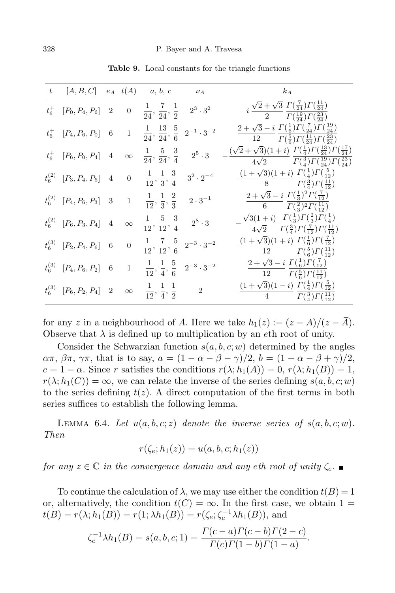|         | $t \qquad [A, B, C] \quad e_A \quad t(A) \qquad a, b, c$          |                  |                                                                         | $\nu_A$               | $k_A$                                                                                                                                                                         |
|---------|-------------------------------------------------------------------|------------------|-------------------------------------------------------------------------|-----------------------|-------------------------------------------------------------------------------------------------------------------------------------------------------------------------------|
| $t_6^+$ | $[P_0, P_4, P_6]$ 2                                               |                  | 0 $\frac{1}{24}, \frac{7}{24}, \frac{1}{2}$ $2^3 \cdot 3^2$             |                       | $i \frac{\sqrt{2} + \sqrt{3}}{2} \frac{\Gamma(\frac{7}{24}) \Gamma(\frac{11}{24})}{\Gamma(\frac{19}{24}) \Gamma(\frac{23}{24})}$                                              |
|         | $t_6^+$ [ $P_4, P_6, P_0$ ] 6                                     |                  | 1 $\frac{1}{24}$ , $\frac{13}{24}$ , $\frac{5}{6}$                      | $2^{-1} \cdot 3^{-2}$ | $2+\sqrt{3}-i \Gamma(\frac{1}{6})\Gamma(\frac{7}{24})\Gamma(\frac{19}{24})$<br>$\frac{12}{\Gamma(\frac{5}{6})}\Gamma(\frac{11}{24})\Gamma(\frac{23}{24})$                     |
|         | $t_6^+$ [ $P_6, P_0, P_4$ ] 4                                     | $\infty$         | $\frac{1}{24}, \frac{5}{24}, \frac{3}{4}$                               | $2^5 \cdot 3$         | $(\sqrt{2} + \sqrt{3})(1+i) \ \Gamma(\frac{1}{4}) \Gamma(\frac{13}{24}) \Gamma(\frac{17}{24})$<br>$4\sqrt{2}$ $\Gamma(\frac{3}{4})\Gamma(\frac{19}{24})\Gamma(\frac{23}{24})$ |
|         | $t_6^{(2)}$ [P <sub>3</sub> , P <sub>4</sub> , P <sub>6</sub> ] 4 | $\boldsymbol{0}$ | $\frac{1}{12}, \frac{1}{3}, \frac{3}{4}$                                | $3^2 \cdot 2^{-4}$    | $\frac{(1+\sqrt{3})(1+i)}{(1+i)^2}\frac{\Gamma(\frac{1}{4})\Gamma(\frac{5}{12})}$<br>8 $\overline{\Gamma(\frac{3}{4})}\Gamma(\frac{11}{12})$                                  |
|         | $t_6^{(2)}$ [P <sub>4</sub> , P <sub>6</sub> , P <sub>3</sub> ] 3 |                  | 1 $\frac{1}{12}, \frac{1}{3}, \frac{2}{3}$                              | $2 \cdot 3^{-1}$      | $2+\sqrt{3}-i \Gamma(\frac{1}{3})^2 \Gamma(\frac{7}{12})$<br>6 $\Gamma(\frac{2}{3})^2 \Gamma(\frac{11}{12})$                                                                  |
|         | $t_6^{(2)}$ [P <sub>6</sub> , P <sub>3</sub> , P <sub>4</sub> ] 4 |                  | $\infty$ $\frac{1}{12}, \frac{5}{12}, \frac{3}{4}$                      | $2^8 \cdot 3$         | $\sqrt{3}(1+i) \Gamma(\frac{1}{3})\Gamma(\frac{2}{3})\Gamma(\frac{1}{4})$<br>$4\sqrt{2}$ $\Gamma(\frac{3}{4})\Gamma(\frac{7}{12})\Gamma(\frac{11}{12})$                       |
|         | $t_6^{(3)}$ [P <sub>2</sub> , P <sub>4</sub> , P <sub>6</sub> ] 6 |                  | 0 $\frac{1}{12}$ , $\frac{7}{12}$ , $\frac{5}{6}$ $2^{-3} \cdot 3^{-2}$ |                       | $(1+\sqrt{3})(1+i) \ \Gamma(\frac{1}{6})\Gamma(\frac{7}{12})$<br>12 $\Gamma(\frac{5}{6})\Gamma(\frac{11}{12})$                                                                |
|         | $t_6^{(3)}$ [ $P_4, P_6, P_2$ ] 6                                 |                  | 1 $\frac{1}{12}$ , $\frac{1}{4}$ , $\frac{5}{6}$ $2^{-3} \cdot 3^{-2}$  |                       | $2+\sqrt{3}-i \Gamma(\frac{1}{6})\Gamma(\frac{7}{12})$<br>$\overline{12}$ $\Gamma(\frac{5}{6})\Gamma(\frac{11}{12})$                                                          |
|         | $t_6^{(3)}$ [P <sub>6</sub> , P <sub>2</sub> , P <sub>4</sub> ] 2 | $\infty$         | $\frac{1}{12}, \frac{1}{4}, \frac{1}{2}$                                | $\overline{2}$        | $\frac{(1+\sqrt{3})(1-i)}{1} \ \Gamma(\frac{1}{4}) \Gamma(\frac{5}{12})$<br>4 $\Gamma(\frac{3}{4})\Gamma(\frac{11}{12})$                                                      |

Table 9. Local constants for the triangle functions

for any z in a neighbourhood of A. Here we take  $h_1(z) := (z - A)/(z - \overline{A}).$ Observe that  $\lambda$  is defined up to multiplication by an eth root of unity.

Consider the Schwarzian function  $s(a, b, c; w)$  determined by the angles  $\alpha\pi$ ,  $\beta\pi$ ,  $\gamma\pi$ , that is to say,  $a = (1 - \alpha - \beta - \gamma)/2$ ,  $b = (1 - \alpha - \beta + \gamma)/2$ ,  $c = 1 - \alpha$ . Since r satisfies the conditions  $r(\lambda; h_1(A)) = 0$ ,  $r(\lambda; h_1(B)) = 1$ ,  $r(\lambda; h_1(C)) = \infty$ , we can relate the inverse of the series defining  $s(a, b, c; w)$ to the series defining  $t(z)$ . A direct computation of the first terms in both series suffices to establish the following lemma.

LEMMA 6.4. Let  $u(a, b, c; z)$  denote the inverse series of  $s(a, b, c; w)$ . Then

$$
r(\zeta_e;h_1(z))=u(a,b,c;h_1(z))
$$

for any  $z \in \mathbb{C}$  in the convergence domain and any eth root of unity  $\zeta_e$ .

To continue the calculation of  $\lambda$ , we may use either the condition  $t(B) = 1$ or, alternatively, the condition  $t(C) = \infty$ . In the first case, we obtain 1 =  $t(B) = r(\lambda; h_1(B)) = r(1; \lambda h_1(B)) = r(\zeta_e; \zeta_e^{-1} \lambda h_1(B)),$  and

$$
\zeta_e^{-1} \lambda h_1(B) = s(a, b, c; 1) = \frac{\Gamma(c-a)\Gamma(c-b)\Gamma(2-c)}{\Gamma(c)\Gamma(1-b)\Gamma(1-a)}.
$$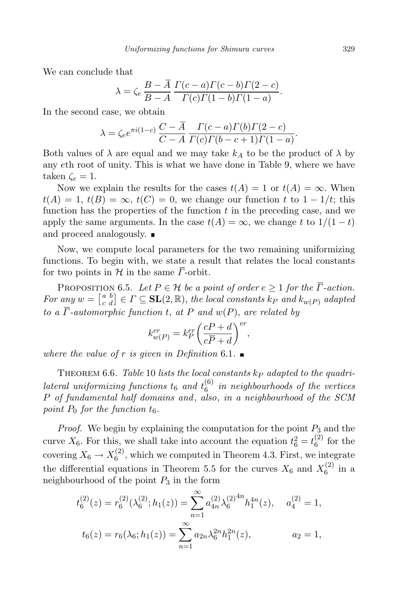We can conclude that

$$
\lambda = \zeta_e \frac{B - \overline{A}}{B - A} \frac{\Gamma(c - a)\Gamma(c - b)\Gamma(2 - c)}{\Gamma(c)\Gamma(1 - b)\Gamma(1 - a)}.
$$

In the second case, we obtain

$$
\lambda = \zeta_e e^{\pi i (1-c)} \frac{C - \overline{A}}{C - A} \frac{\Gamma(c-a)\Gamma(b)\Gamma(2-c)}{\Gamma(c)\Gamma(b-c+1)\Gamma(1-a)}.
$$

Both values of  $\lambda$  are equal and we may take  $k_A$  to be the product of  $\lambda$  by any eth root of unity. This is what we have done in Table 9, where we have taken  $\zeta_e = 1$ .

Now we explain the results for the cases  $t(A) = 1$  or  $t(A) = \infty$ . When  $t(A) = 1$ ,  $t(B) = \infty$ ,  $t(C) = 0$ , we change our function t to  $1 - 1/t$ ; this function has the properties of the function  $t$  in the preceding case, and we apply the same arguments. In the case  $t(A) = \infty$ , we change t to  $1/(1-t)$ and proceed analogously.

Now, we compute local parameters for the two remaining uniformizing functions. To begin with, we state a result that relates the local constants for two points in H in the same  $\overline{\Gamma}$ -orbit.

PROPOSITION 6.5. Let  $P \in \mathcal{H}$  be a point of order  $e \geq 1$  for the  $\overline{\Gamma}$ -action. For any  $w = \begin{bmatrix} a & b \\ c & d \end{bmatrix} \in \Gamma \subseteq \textbf{SL}(2, \mathbb{R})$ , the local constants  $k_P$  and  $k_{w(P)}$  adapted to a  $\overline{\Gamma}$ -automorphic function t, at P and  $w(P)$ , are related by

$$
k_{w(P)}^{er} = k_P^{er} \left(\frac{cP + d}{c\overline{P} + d}\right)^{er},
$$

where the value of r is given in Definition 6.1.  $\blacksquare$ 

THEOREM 6.6. Table 10 lists the local constants  $k_P$  adapted to the quadrilateral uniformizing functions  $t_6$  and  $t_6^{(6)}$  $_6^{(0)}$  in neighbourhoods of the vertices P of fundamental half domains and, also, in a neighbourhood of the SCM point  $P_0$  for the function  $t_6$ .

*Proof.* We begin by explaining the computation for the point  $P_3$  and the curve  $X_6$ . For this, we shall take into account the equation  $t_6^2 = t_6^{(2)}$  $6^{(2)}$  for the covering  $X_6 \to X_6^{(2)}$  $_{6}^{(2)}$ , which we computed in Theorem 4.3. First, we integrate the differential equations in Theorem 5.5 for the curves  $X_6$  and  $X_6^{(2)}$  $6^{(2)}$  in a neighbourhood of the point  $P_3$  in the form

$$
t_6^{(2)}(z) = r_6^{(2)}(\lambda_6^{(2)}; h_1(z)) = \sum_{n=1}^{\infty} a_{4n}^{(2)} \lambda_6^{(2)}^{4n} h_1^{4n}(z), \quad a_4^{(2)} = 1,
$$
  

$$
t_6(z) = r_6(\lambda_6; h_1(z)) = \sum_{n=1}^{\infty} a_{2n} \lambda_6^{2n} h_1^{2n}(z), \qquad a_2 = 1,
$$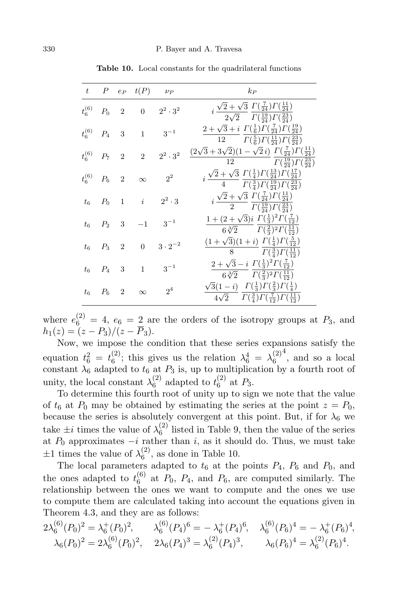|             |         |                            | $t$ $P$ e <sub>P</sub> $t(P)$ $\nu_P$ |                  | $k_P$                                                                                                                                                                                   |
|-------------|---------|----------------------------|---------------------------------------|------------------|-----------------------------------------------------------------------------------------------------------------------------------------------------------------------------------------|
| $t_6^{(6)}$ | $P_0$ 2 |                            |                                       | $2^2 \cdot 3^2$  | $i \frac{\sqrt{2} + \sqrt{3}}{2\sqrt{2}} \frac{\Gamma(\frac{7}{24}) \Gamma(\frac{11}{24})}{\Gamma(\frac{19}{24}) \Gamma(\frac{23}{24})}$                                                |
| $t_6^{(6)}$ | $P_4$ 3 |                            | $\overline{\phantom{0}}$ 1            | $3^{-1}$         | $2+\sqrt{3}+i \Gamma(\frac{1}{6})\Gamma(\frac{7}{24})\Gamma(\frac{19}{24})$<br>12 $\Gamma(\frac{5}{6})\Gamma(\frac{11}{24})\Gamma(\frac{23}{24})$                                       |
| $t_6^{(6)}$ | $P_7$   | $\overline{\phantom{0}}^2$ | $\overline{2}$                        | $2^2\cdot 3^2$   | $(2\sqrt{3}+3\sqrt{2})(1-\sqrt{2}i)\ \Gamma(\frac{7}{24})\Gamma(\frac{11}{24})$<br>12 $\frac{\Gamma(\frac{19}{24})\Gamma(\frac{23}{24})}{\Gamma(\frac{23}{24})}$                        |
| $t_6^{(6)}$ | $P_6$   | $\overline{\phantom{a}2}$  | $\infty$                              | $2^2$            | $i\,\frac{\sqrt{2}+\sqrt{3}}{4}\,\frac{\varGamma(\frac{1}{4})\varGamma(\frac{13}{24})\varGamma(\frac{17}{24})}{\varGamma(\frac{3}{4})\varGamma(\frac{19}{24})\varGamma(\frac{23}{24})}$ |
| $t_{\rm 6}$ | $P_0$ 1 |                            | $\overline{\phantom{i}}$              | $2^2 \cdot 3$    | $i \frac{\sqrt{2} + \sqrt{3}}{2} \frac{\Gamma(\frac{7}{24}) \Gamma(\frac{11}{24})}{\Gamma(\frac{19}{24}) \Gamma(\frac{23}{24})}$                                                        |
| $t_{6}$     | $P_2$   | 3                          | $-1$                                  | $3^{-1}$         | $1+(2+\sqrt{3})i \Gamma(\frac{1}{3})^2 \Gamma(\frac{7}{12})$<br>$6\sqrt[3]{2}$ $\Gamma(\frac{2}{3})^2\Gamma(\frac{11}{12})$                                                             |
| $t_{6}$     | $P_3$ 2 |                            | $\boldsymbol{0}$                      | $3 \cdot 2^{-2}$ | $\frac{(1+\sqrt{3})(1+i)}{(1+i)^2} \frac{\Gamma(\frac{1}{4})\Gamma(\frac{5}{12})}$<br>8 $\frac{1}{\Gamma(\frac{3}{4})\Gamma(\frac{11}{12})}$                                            |
| $t_{\rm 6}$ | $P_4$   | $^{\circ}$ 3               | $\mathbf{1}$                          | $3^{-1}$         | $2+\sqrt{3}-i \Gamma(\frac{1}{3})^2 \Gamma(\frac{7}{12})$<br>$\frac{3}{2}$ $\Gamma(\frac{2}{3})^2 \Gamma(\frac{11}{12})$                                                                |
| $t_{6}$     | $P_6$   | $\overline{2}$             | $\infty$                              | 2 <sup>4</sup>   | $\sqrt{3}(1-i) \Gamma(\frac{1}{3})\Gamma(\frac{2}{3})\Gamma(\frac{1}{4})$<br>$4\sqrt{2}$ $\Gamma(\frac{3}{4})\Gamma(\frac{7}{12})\Gamma(\frac{11}{12})$                                 |

Table 10. Local constants for the quadrilateral functions

where  $e_6^{(2)} = 4$ ,  $e_6 = 2$  are the orders of the isotropy groups at  $P_3$ , and  $h_1(z) = (z - P_3)/(z - \overline{P}_3).$ 

Now, we impose the condition that these series expansions satisfy the equation  $t_6^2 = t_6^{(2)}$  $\binom{2}{6}$ ; this gives us the relation  $\lambda_6^4 = \lambda_6^{(2)}$ 6 4 , and so a local constant  $\lambda_6$  adapted to  $t_6$  at  $P_3$  is, up to multiplication by a fourth root of unity, the local constant  $\lambda_6^{(2)}$  $_{6}^{(2)}$  adapted to  $t_{6}^{(2)}$  $6^{(2)}$  at  $P_3$ .

To determine this fourth root of unity up to sign we note that the value of  $t_6$  at  $P_0$  may be obtained by estimating the series at the point  $z = P_0$ , because the series is absolutely convergent at this point. But, if for  $\lambda_6$  we take  $\pm i$  times the value of  $\lambda_6^{(2)}$  $\binom{1}{6}$  listed in Table 9, then the value of the series at  $P_0$  approximates  $-i$  rather than i, as it should do. Thus, we must take  $\pm 1$  times the value of  $\lambda_6^{(2)}$  $_{6}^{(2)}$ , as done in Table 10.

The local parameters adapted to  $t_6$  at the points  $P_4$ ,  $P_6$  and  $P_0$ , and the ones adapted to  $t_6^{(6)}$  $_6^{\circ}$  at  $P_0$ ,  $P_4$ , and  $P_6$ , are computed similarly. The relationship between the ones we want to compute and the ones we use to compute them are calculated taking into account the equations given in Theorem 4.3, and they are as follows:

$$
2\lambda_6^{(6)}(P_0)^2 = \lambda_6^+(P_0)^2, \qquad \lambda_6^{(6)}(P_4)^6 = -\lambda_6^+(P_4)^6, \quad \lambda_6^{(6)}(P_6)^4 = -\lambda_6^+(P_6)^4, \lambda_6(P_0)^2 = 2\lambda_6^{(6)}(P_0)^2, \quad 2\lambda_6(P_4)^3 = \lambda_6^{(2)}(P_4)^3, \qquad \lambda_6(P_6)^4 = \lambda_6^{(2)}(P_6)^4.
$$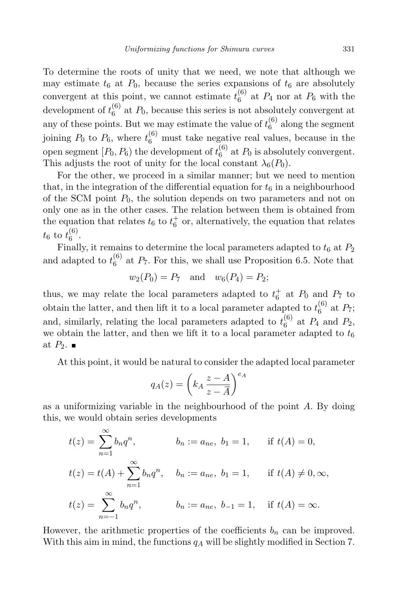To determine the roots of unity that we need, we note that although we may estimate  $t_6$  at  $P_0$ , because the series expansions of  $t_6$  are absolutely convergent at this point, we cannot estimate  $t_6^{(6)}$  $_6^{\circ}$  at  $P_4$  nor at  $P_6$  with the development of  $t_6^{(6)}$  $\binom{6}{6}$  at  $P_0$ , because this series is not absolutely convergent at any of these points. But we may estimate the value of  $t_6^{(6)}$  along the segment 6 joining  $P_0$  to  $P_6$ , where  $t_6^{(6)}$  must take negative real values, because in the open segment  $[P_0, P_6)$  the development of  $t_6^{(6)}$  $_6^{\circ}$  at  $P_0$  is absolutely convergent. This adjusts the root of unity for the local constant  $\lambda_6(P_0)$ .

For the other, we proceed in a similar manner; but we need to mention that, in the integration of the differential equation for  $t<sub>6</sub>$  in a neighbourhood of the SCM point  $P_0$ , the solution depends on two parameters and not on only one as in the other cases. The relation between them is obtained from the equation that relates  $t_6$  to  $t_6^+$  or, alternatively, the equation that relates  $t_{6}$  to  $t_{6}^{(6)}$  $6^{\circ}$ .

Finally, it remains to determine the local parameters adapted to  $t_6$  at  $P_2$ and adapted to  $t_6^{(6)}$  $_6^{\circ}$  at  $P_7$ . For this, we shall use Proposition 6.5. Note that

$$
w_2(P_0) = P_7
$$
 and  $w_6(P_4) = P_2$ ;

thus, we may relate the local parameters adapted to  $t_6^+$  at  $P_0$  and  $P_7$  to obtain the latter, and then lift it to a local parameter adapted to  $t_6^{(6)}$  $^{(0)}_6$  at  $P_7$ ; and, similarly, relating the local parameters adapted to  $t_6^{(6)}$  $\binom{00}{6}$  at  $P_4$  and  $P_2$ , we obtain the latter, and then we lift it to a local parameter adapted to  $t_6$ at  $P_2$ .

At this point, it would be natural to consider the adapted local parameter

$$
q_A(z) = \left(k_A \frac{z - A}{z - \overline{A}}\right)^{e_A}
$$

as a uniformizing variable in the neighbourhood of the point A. By doing this, we would obtain series developments

$$
t(z) = \sum_{n=1}^{\infty} b_n q^n, \qquad b_n := a_{ne}, \ b_1 = 1, \qquad \text{if } t(A) = 0,
$$
  

$$
t(z) = t(A) + \sum_{n=1}^{\infty} b_n q^n, \qquad b_n := a_{ne}, \ b_1 = 1, \qquad \text{if } t(A) \neq 0, \infty,
$$
  

$$
t(z) = \sum_{n=-1}^{\infty} b_n q^n, \qquad b_n := a_{ne}, \ b_{-1} = 1, \quad \text{if } t(A) = \infty.
$$

However, the arithmetic properties of the coefficients  $b_n$  can be improved. With this aim in mind, the functions  $q_A$  will be slightly modified in Section 7.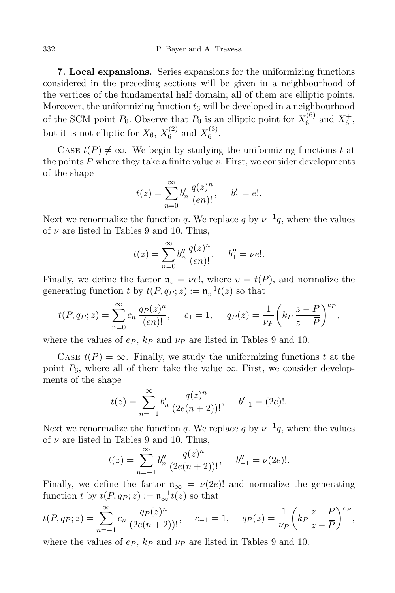332 P. Bayer and A. Travesa

7. Local expansions. Series expansions for the uniformizing functions considered in the preceding sections will be given in a neighbourhood of the vertices of the fundamental half domain; all of them are elliptic points. Moreover, the uniformizing function  $t<sub>6</sub>$  will be developed in a neighbourhood of the SCM point  $P_0$ . Observe that  $P_0$  is an elliptic point for  $X_6^{(6)}$  $K_6^{(6)}$  and  $X_6^+$ , but it is not elliptic for  $X_6$ ,  $X_6^{(2)}$  $\binom{2}{6}$  and  $X_6^{(3)}$  $6^{(3)}$ 

CASE  $t(P) \neq \infty$ . We begin by studying the uniformizing functions t at the points  $P$  where they take a finite value  $v$ . First, we consider developments of the shape

$$
t(z) = \sum_{n=0}^{\infty} b'_n \, \frac{q(z)^n}{(en)!}, \quad b'_1 = e!.
$$

Next we renormalize the function q. We replace q by  $\nu^{-1}q$ , where the values of  $\nu$  are listed in Tables 9 and 10. Thus,

$$
t(z) = \sum_{n=0}^{\infty} b_n'' \frac{q(z)^n}{(en)!}, \quad b_1'' = \nu e!.
$$

Finally, we define the factor  $\mathfrak{n}_v = \nu e!$ , where  $v = t(P)$ , and normalize the generating function t by  $t(P, q_P; z) := \mathfrak{n}_v^{-1} t(z)$  so that

$$
t(P, q_P; z) = \sum_{n=0}^{\infty} c_n \frac{q_P(z)^n}{(en)!}, \quad c_1 = 1, \quad q_P(z) = \frac{1}{\nu_P} \left( k_P \frac{z - P}{z - \overline{P}} \right)^{e_P},
$$

where the values of  $e_P$ ,  $k_P$  and  $\nu_P$  are listed in Tables 9 and 10.

CASE  $t(P) = \infty$ . Finally, we study the uniformizing functions t at the point  $P_6$ , where all of them take the value  $\infty$ . First, we consider developments of the shape

$$
t(z) = \sum_{n=-1}^{\infty} b'_n \, \frac{q(z)^n}{(2e(n+2))!}, \quad b'_{-1} = (2e)!
$$

Next we renormalize the function q. We replace q by  $\nu^{-1}q$ , where the values of  $\nu$  are listed in Tables 9 and 10. Thus,

$$
t(z) = \sum_{n=-1}^{\infty} b_n'' \frac{q(z)^n}{(2e(n+2))!}, \quad b_{-1}'' = \nu(2e)!
$$

Finally, we define the factor  $\mathfrak{n}_{\infty} = \nu(2e)!$  and normalize the generating function t by  $t(P, q_P; z) := \mathfrak{n}_{\infty}^{-1} t(z)$  so that

$$
t(P, q_P; z) = \sum_{n=-1}^{\infty} c_n \frac{q_P(z)^n}{(2e(n+2))!}, \quad c_{-1} = 1, \quad q_P(z) = \frac{1}{\nu_P} \left( k_P \frac{z - P}{z - \overline{P}} \right)^{e_P},
$$

where the values of  $e_P$ ,  $k_P$  and  $\nu_P$  are listed in Tables 9 and 10.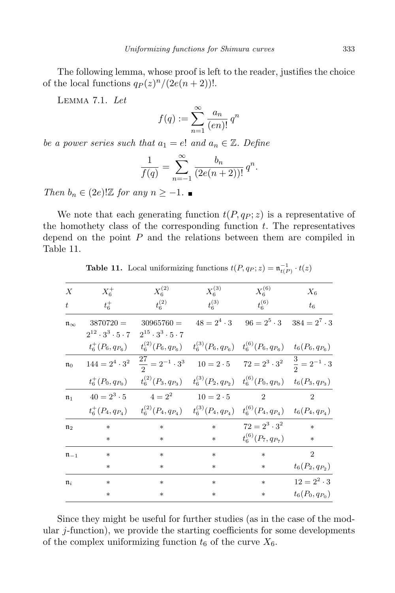The following lemma, whose proof is left to the reader, justifies the choice of the local functions  $q_P(z)^n/(2e(n+2))!$ .

Lemma 7.1. Let

$$
f(q) := \sum_{n=1}^{\infty} \frac{a_n}{(en)!} q^n
$$

be a power series such that  $a_1 = e!$  and  $a_n \in \mathbb{Z}$ . Define

$$
\frac{1}{f(q)} = \sum_{n=-1}^{\infty} \frac{b_n}{(2e(n+2))!} q^n.
$$

Then  $b_n \in (2e)!\mathbb{Z}$  for any  $n \geq -1$ .

We note that each generating function  $t(P, q_P; z)$  is a representative of the homothety class of the corresponding function  $t$ . The representatives depend on the point  $P$  and the relations between them are compiled in Table 11.

**Table 11.** Local uniformizing functions  $t(P, q_P; z) = \mathfrak{n}_{t(P)}^{-1} \cdot t(z)$ 

| $\boldsymbol{X}$        | $X_6^+$                            | $X_6^{(2)}$                                                                                                        | $X_6^{(3)}$ | $X_6^{(6)}$                                                          | $X_6$              |
|-------------------------|------------------------------------|--------------------------------------------------------------------------------------------------------------------|-------------|----------------------------------------------------------------------|--------------------|
| t                       | $t_6^+$                            | $t_6^{(2)}$                                                                                                        | $t_6^{(3)}$ | $t_6^{(6)}$                                                          | $t_6$              |
| $\mathfrak{n}_{\infty}$ | $3870720 =$                        | $30965760 =$                                                                                                       |             | $48 = 2^4 \cdot 3$ $96 = 2^5 \cdot 3$ $384 = 2^7 \cdot 3$            |                    |
|                         | $2^{12} \cdot 3^3 \cdot 5 \cdot 7$ | $2^{15} \cdot 3^3 \cdot 5 \cdot 7$                                                                                 |             |                                                                      |                    |
|                         |                                    | $t_6^+(P_6,q_{P_6})$ $t_6^{(2)}(P_6,q_{P_6})$                                                                      |             | $t_6^{(3)}(P_6,q_{P_6})$ $t_6^{(6)}(P_6,q_{P_6})$ $t_6(P_6,q_{P_6})$ |                    |
| $n_0$                   | $144 = 2^4 \cdot 3^2$              | $\frac{27}{2} = 2^{-1} \cdot 3^3$                                                                                  |             | $10 = 2 \cdot 5$ $72 = 2^3 \cdot 3^2$ $\frac{3}{2} = 2^{-1} \cdot 3$ |                    |
|                         | $t_6^+(P_0,q_{P_0})$               | $t_6^{(2)}(P_3,q_{P_3})$ $t_6^{(3)}(P_2,q_{P_2})$ $t_6^{(6)}(P_0,q_{P_0})$ $t_6(P_3,q_{P_3})$                      |             |                                                                      |                    |
| $\mathfrak{n}_1$        |                                    | $40 = 2^3 \cdot 5$ $4 = 2^2$ $10 = 2 \cdot 5$                                                                      |             | $\mathfrak{D}$                                                       | $\mathfrak{D}$     |
|                         |                                    | $t_6^+(P_4,q_{P_4})$ $t_6^{(2)}(P_4,q_{P_4})$ $t_6^{(3)}(P_4,q_{P_4})$ $t_6^{(6)}(P_4,q_{P_4})$ $t_6(P_4,q_{P_4})$ |             |                                                                      |                    |
| $\mathfrak{n}_2$        | $\ast$                             | $\ast$                                                                                                             | $\ast$      | $72 = 2^3 \cdot 3^2$                                                 | $\ast$             |
|                         | $\ast$                             | *                                                                                                                  | $*$         | $t_6^{(6)}(P_7,q_{P_7})$                                             | $\ast$             |
| $\mathfrak{n}_{-1}$     | $\ast$                             | $\ast$                                                                                                             | $\ast$      | $\ast$                                                               | $\overline{2}$     |
|                         | $\ast$                             | *                                                                                                                  | $\ast$      | $\ast$                                                               | $t_6(P_2,q_{P_2})$ |
| $\mathfrak{n}_i$        | $\ast$                             | $\ast$                                                                                                             | $\ast$      | $\ast$                                                               | $12 = 2^2 \cdot 3$ |
|                         | $\ast$                             | $*$                                                                                                                | $\ast$      | $\ast$                                                               | $t_6(P_0,q_{P_0})$ |
|                         |                                    |                                                                                                                    |             |                                                                      |                    |

Since they might be useful for further studies (as in the case of the modular j-function), we provide the starting coefficients for some developments of the complex uniformizing function  $t_6$  of the curve  $X_6$ .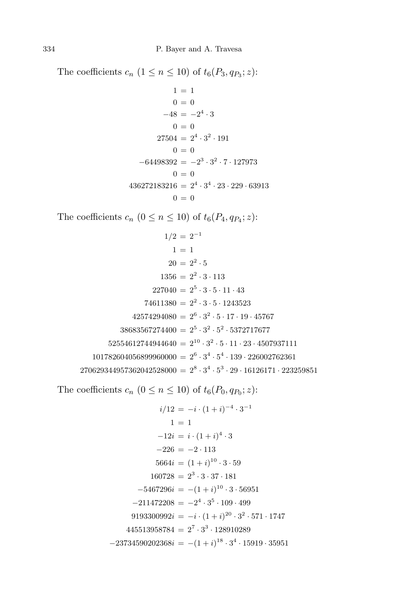The coefficients  $c_n$   $(1 \le n \le 10)$  of  $t_6(P_3, q_{P_3}; z)$ :

$$
1 = 1
$$
  
\n
$$
0 = 0
$$
  
\n
$$
-48 = -24 \cdot 3
$$
  
\n
$$
0 = 0
$$
  
\n
$$
27504 = 24 \cdot 32 \cdot 191
$$
  
\n
$$
0 = 0
$$
  
\n
$$
-64498392 = -23 \cdot 32 \cdot 7 \cdot 127973
$$
  
\n
$$
0 = 0
$$
  
\n
$$
436272183216 = 24 \cdot 34 \cdot 23 \cdot 229 \cdot 63913
$$
  
\n
$$
0 = 0
$$

The coefficients  $c_n$   $(0 \le n \le 10)$  of  $t_6(P_4, q_{P_4}; z)$ :

$$
1/2 = 2^{-1}
$$
  
\n
$$
1 = 1
$$
  
\n
$$
20 = 2^{2} \cdot 5
$$
  
\n
$$
1356 = 2^{2} \cdot 3 \cdot 113
$$
  
\n
$$
227040 = 2^{5} \cdot 3 \cdot 5 \cdot 11 \cdot 43
$$
  
\n
$$
74611380 = 2^{2} \cdot 3 \cdot 5 \cdot 1243523
$$
  
\n
$$
42574294080 = 2^{6} \cdot 3^{2} \cdot 5 \cdot 17 \cdot 19 \cdot 45767
$$
  
\n
$$
38683567274400 = 2^{5} \cdot 3^{2} \cdot 5^{2} \cdot 5372717677
$$
  
\n
$$
52554612744944640 = 2^{10} \cdot 3^{2} \cdot 5 \cdot 11 \cdot 23 \cdot 4507937111
$$
  
\n
$$
101782604056899960000 = 2^{6} \cdot 3^{4} \cdot 5^{4} \cdot 139 \cdot 226002762361
$$
  
\n
$$
270629344957362042528000 = 2^{8} \cdot 3^{4} \cdot 5^{3} \cdot 29 \cdot 16126171 \cdot 223259851
$$

The coefficients  $c_n$   $(0 \le n \le 10)$  of  $t_6(P_0, q_{P_0}; z)$ :

$$
i/12 = -i \cdot (1+i)^{-4} \cdot 3^{-1}
$$
  
\n
$$
1 = 1
$$
  
\n
$$
-12i = i \cdot (1+i)^{4} \cdot 3
$$
  
\n
$$
-226 = -2 \cdot 113
$$
  
\n
$$
5664i = (1+i)^{10} \cdot 3 \cdot 59
$$
  
\n
$$
160728 = 2^{3} \cdot 3 \cdot 37 \cdot 181
$$
  
\n
$$
-5467296i = -(1+i)^{10} \cdot 3 \cdot 56951
$$
  
\n
$$
-211472208 = -2^{4} \cdot 3^{5} \cdot 109 \cdot 499
$$
  
\n
$$
9193300992i = -i \cdot (1+i)^{20} \cdot 3^{2} \cdot 571 \cdot 1747
$$
  
\n
$$
445513958784 = 2^{7} \cdot 3^{3} \cdot 128910289
$$
  
\n
$$
-23734590202368i = -(1+i)^{18} \cdot 3^{4} \cdot 15919 \cdot 35951
$$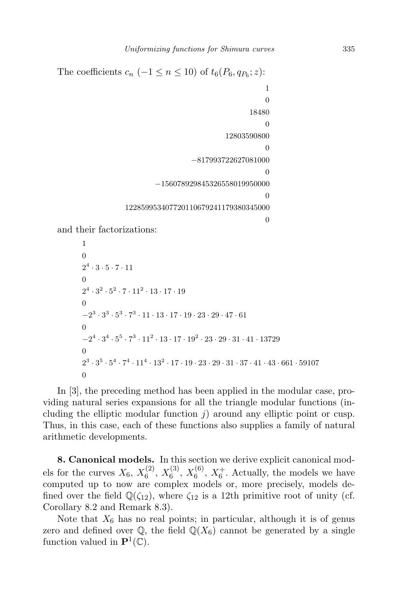The coefficients  $c_n$  (-1 ≤  $n \leq 10$ ) of  $t_6(P_6, q_{P_6}; z)$ : 1

```
\theta18480
                                          \theta12803590800
                                          \Omega−817993722627081000
                                          \Omega−156078929845326558019950000
                                          0
122859953407720110679241179380345000
                                          \theta
```
and their factorizations:

```
1
\Omega2^4 \cdot 3 \cdot 5 \cdot 7 \cdot 11\boldsymbol{0}2^4 \cdot 3^2 \cdot 5^2 \cdot 7 \cdot 11^2 \cdot 13 \cdot 17 \cdot 19\boldsymbol{0}-2^3 \cdot 3^3 \cdot 5^3 \cdot 7^3 \cdot 11 \cdot 13 \cdot 17 \cdot 19 \cdot 23 \cdot 29 \cdot 47 \cdot 61\boldsymbol{0}-2^4 \cdot 3^4 \cdot 5^5 \cdot 7^3 \cdot 11^2 \cdot 13 \cdot 17 \cdot 19^2 \cdot 23 \cdot 29 \cdot 31 \cdot 41 \cdot 13729\boldsymbol{0}2^3 \cdot 3^5 \cdot 5^4 \cdot 7^4 \cdot 11^4 \cdot 13^2 \cdot 17 \cdot 19 \cdot 23 \cdot 29 \cdot 31 \cdot 37 \cdot 41 \cdot 43 \cdot 661 \cdot 59107\boldsymbol{0}
```
In [3], the preceding method has been applied in the modular case, providing natural series expansions for all the triangle modular functions (including the elliptic modular function  $j$ ) around any elliptic point or cusp. Thus, in this case, each of these functions also supplies a family of natural arithmetic developments.

8. Canonical models. In this section we derive explicit canonical models for the curves  $X_6, X_6^{(2)}$  $\binom{2}{6}$ ,  $X_6^{(3)}$  $\binom{(3)}{6}$ ,  $X_6^{(6)}$  $\mathfrak{c}_6^{(6)}$ ,  $X_6^+$ . Actually, the models we have computed up to now are complex models or, more precisely, models defined over the field  $\mathbb{Q}(\zeta_{12})$ , where  $\zeta_{12}$  is a 12th primitive root of unity (cf. Corollary 8.2 and Remark 8.3).

Note that  $X_6$  has no real points; in particular, although it is of genus zero and defined over  $\mathbb{Q}$ , the field  $\mathbb{Q}(X_6)$  cannot be generated by a single function valued in  $\mathbf{P}^1(\mathbb{C})$ .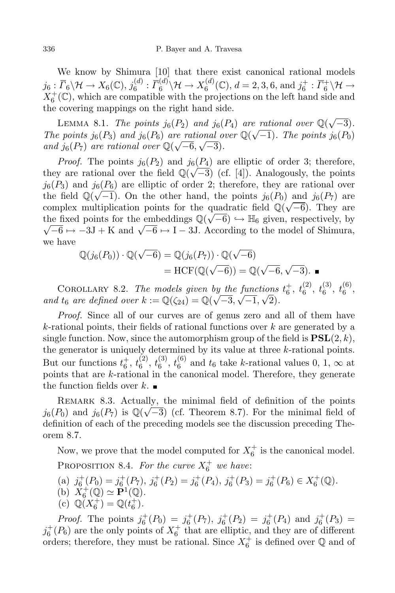We know by Shimura [10] that there exist canonical rational models  $j_6: \overline{\Gamma}_6 \backslash \mathcal{H} \to X_6(\mathbb{C}), j_6^{(d)}$  $\bar f_6^{(d)}: \overline{\bar\Gamma}_6^{(d)}$  $\chi_6^{(d)} \backslash \mathcal{H} \to X_6^{(d)}$  $f_6^{(d)}(\mathbb{C}), d = 2, 3, 6, \text{ and } j_6^+ : \overline{\Gamma}_6^+ \backslash \mathcal{H} \to$  $X_6^+(\mathbb{C})$ , which are compatible with the projections on the left hand side and the covering mappings on the right hand side.

LEMMA 8.1. The points  $j_6(P_2)$  and  $j_6(P_4)$  are rational over  $\mathbb{Q}(\sqrt{-3})$ . The points  $j_6(P_3)$  and  $j_6(P_6)$  are rational over  $\mathbb{Q}(\sqrt{-1})$ . The points  $j_6(P_0)$ and  $j_6(P_7)$  are rational over  $\mathbb{Q}(\sqrt{-6}, \sqrt{-3})$ .

*Proof.* The points  $j_6(P_2)$  and  $j_6(P_4)$  are elliptic of order 3; therefore, they are rational over the field  $\mathbb{Q}(\sqrt{-3})$  (cf. [4]). Analogously, the points  $j_6(P_3)$  and  $j_6(P_6)$  are elliptic of order 2; therefore, they are rational over the field  $\mathbb{Q}(\sqrt{-1})$ . On the other hand, the points  $j_6(P_0)$  and  $j_6(P_7)$  are complex multiplication points for the quadratic field  $\mathbb{Q}(\sqrt{-6})$ . They are the fixed points for the embeddings  $\mathbb{Q}(\sqrt{-6}) \hookrightarrow \mathbb{H}_6$  given, respectively, by  $\sqrt{-6} \mapsto -3J + K$  and  $\sqrt{-6} \mapsto I - 3J$ . According to the model of Shimura, we have

$$
\mathbb{Q}(j_6(P_0)) \cdot \mathbb{Q}(\sqrt{-6}) = \mathbb{Q}(j_6(P_7)) \cdot \mathbb{Q}(\sqrt{-6})
$$

$$
= \text{HCF}(\mathbb{Q}(\sqrt{-6})) = \mathbb{Q}(\sqrt{-6}, \sqrt{-3}).
$$

COROLLARY 8.2. The models given by the functions  $t_6^+$ ,  $t_6^{(2)}$  $\begin{smallmatrix} (2)\ 6 \end{smallmatrix},\ t_6^{(3)}$  $t_6^{(3)}, t_6^{(6)}$  $\begin{matrix} 6 \ 6 \end{matrix}$ and  $t_6$  are defined over  $k := \mathbb{Q}(\zeta_{24}) = \mathbb{Q}(\sqrt{-3}, \sqrt{-1}, \sqrt{2}).$ 

Proof. Since all of our curves are of genus zero and all of them have  $k$ -rational points, their fields of rational functions over  $k$  are generated by a single function. Now, since the automorphism group of the field is  $PSL(2, k)$ , the generator is uniquely determined by its value at three  $k$ -rational points. But our functions  $t_6^+$ ,  $t_6^{(2)}$  $\left(\begin{smallmatrix} 2\ 6 \end{smallmatrix}\right),\, t_6^{(3)}$  $\begin{smallmatrix} (3)\ 6 \end{smallmatrix}, \begin{smallmatrix} t(6)\ 6 \end{smallmatrix}$  $t_6^{(0)}$  and  $t_6$  take k-rational values 0, 1,  $\infty$  at points that are k-rational in the canonical model. Therefore, they generate the function fields over  $k$ .

Remark 8.3. Actually, the minimal field of definition of the points  $j_6(P_0)$  and  $j_6(P_7)$  is  $\mathbb{Q}(\sqrt{-3})$  (cf. Theorem 8.7). For the minimal field of definition of each of the preceding models see the discussion preceding Theorem 8.7.

Now, we prove that the model computed for  $X_6^+$  is the canonical model.

PROPOSITION 8.4. For the curve  $X_6^+$  we have:

- (a)  $j_6^+(P_0) = j_6^+(P_7)$ ,  $j_6^+(P_2) = j_6^+(P_4)$ ,  $j_6^+(P_3) = j_6^+(P_6) \in X_6^+(\mathbb{Q})$ .
- (b)  $\check{X}_6^+(\mathbb{Q}) \simeq \check{\mathbf{P}}^1(\mathbb{Q})$ .
- (c)  $\mathbb{Q}(X_6^+) = \mathbb{Q}(t_6^+).$

*Proof.* The points  $j_6^+(P_0) = j_6^+(P_7)$ ,  $j_6^+(P_2) = j_6^+(P_4)$  and  $j_6^+(P_3) =$  $j_6^+(P_6)$  are the only points of  $X_6^+$  that are elliptic, and they are of different orders; therefore, they must be rational. Since  $X_6^+$  is defined over  $\mathbb Q$  and of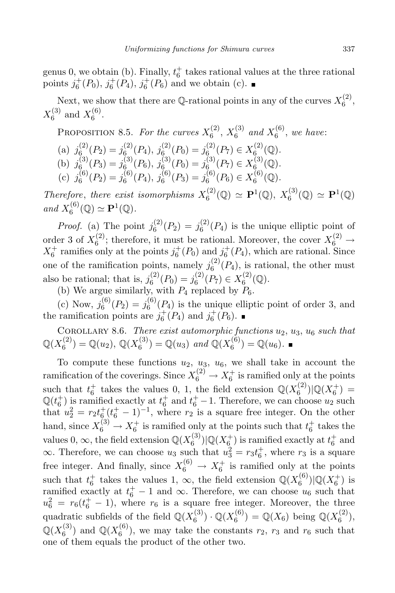genus 0, we obtain (b). Finally,  $t_6^+$  takes rational values at the three rational points  $j_6^+(P_0)$ ,  $j_6^+(P_4)$ ,  $j_6^+(P_6)$  and we obtain (c).

Next, we show that there are Q-rational points in any of the curves  $X_6^{(2)}$  $6^{(2)}$ ,  $X_6^{(3)}$  $\chi_6^{(3)}$  and  $X_6^{(6)}$  $6^{(9)}$ 

PROPOSITION 8.5. For the curves 
$$
X_6^{(2)}
$$
,  $X_6^{(3)}$  and  $X_6^{(6)}$ , we have:  
\n(a)  $j_6^{(2)}(P_2) = j_6^{(2)}(P_4)$ ,  $j_6^{(2)}(P_0) = j_6^{(2)}(P_7) \in X_6^{(2)}(\mathbb{Q})$ .  
\n(b)  $j_6^{(3)}(P_3) = j_6^{(3)}(P_6)$ ,  $j_6^{(3)}(P_0) = j_6^{(3)}(P_7) \in X_6^{(3)}(\mathbb{Q})$ .  
\n(c)  $j_6^{(6)}(P_2) = j_6^{(6)}(P_4)$ ,  $j_6^{(6)}(P_3) = j_6^{(6)}(P_6) \in X_6^{(6)}(\mathbb{Q})$ .

Therefore, there exist isomorphisms  $X_6^{(2)}$  $f_6^{(2)}(\mathbb{Q}) \simeq \mathbf{P}^1(\mathbb{Q}), X_6^{(3)}$  $\mathbf{F}_6^{(3)}(\mathbb{Q}) \simeq \mathbf{P}^1(\mathbb{Q})$ and  $X_6^{(6)}$  $f_6^{(6)}(\mathbb{Q}) \simeq \mathbf{P}^1(\mathbb{Q}).$ 

*Proof.* (a) The point  $j_6^{(2)}$  $j_6^{(2)}(P_2) = j_6^{(2)}$  $^{(2)}_{6}(P_4)$  is the unique elliptic point of order 3 of  $X_6^{(2)}$  $\binom{2}{6}$ ; therefore, it must be rational. Moreover, the cover  $X_6^{(2)} \rightarrow$  $X_6^+$  ramifies only at the points  $j_6^+(P_0)$  and  $j_6^+(P_4)$ , which are rational. Since one of the ramification points, namely  $j_6^{(2)}$  $^{(2)}_{6}(P_4)$ , is rational, the other must also be rational; that is,  $j_6^{(2)}$  $j_6^{(2)}(P_0) = j_6^{(2)}$  $X_6^{(2)}(P_7) \in X_6^{(2)}$  $6^{(2)}(9)$ .

(b) We argue similarly, with  $P_4$  replaced by  $P_6$ .

(c) Now,  $j_6^{(6)}$  $j_6^{(6)}(P_2) = j_6^{(6)}$  $^{(0)}_{6}(P_4)$  is the unique elliptic point of order 3, and the ramification points are  $j_6^+(P_4)$  and  $j_6^+(P_6)$ .

COROLLARY 8.6. There exist automorphic functions  $u_2, u_3, u_6$  such that  $\mathbb{Q}(X_6^{(2)}$  $\mathbb{Q}_6^{(2)}$  = Q(u<sub>2</sub>), Q(X<sub>6</sub><sup>3)</sup>  $\mathcal{O}_6^{(3)}$  = Q(u<sub>3</sub>) and Q(X<sub>6</sub><sup>6)</sup>  $\binom{0}{6}$  = Q( $u_6$ ).

To compute these functions  $u_2$ ,  $u_3$ ,  $u_6$ , we shall take in account the ramification of the coverings. Since  $X_6^{(2)} \to X_6^+$  is ramified only at the points such that  $t_6^+$  takes the values 0, 1, the field extension  $\mathbb{Q}(X_6^{(2)})$  $\binom{2}{6}$ |Q(X<sup>+</sup>) =  $\mathbb{Q}(t_6^+)$  is ramified exactly at  $t_6^+$  and  $t_6^+$  – 1. Therefore, we can choose  $u_2$  such that  $u_2^2 = r_2 t_6^+ (t_6^+ - 1)^{-1}$ , where  $r_2$  is a square free integer. On the other hand, since  $X_6^{(3)} \to X_6^+$  is ramified only at the points such that  $t_6^+$  takes the values 0,  $\infty$ , the field extension  $\mathbb{Q}(X_6^{(3)})$  $\mathcal{O}_6^{(3)}$   $\vert \mathbb{Q}(X_6^+)$  is ramified exactly at  $t_6^+$  and  $\infty$ . Therefore, we can choose  $u_3$  such that  $u_3^2 = r_3 t_6^+$ , where  $r_3$  is a square free integer. And finally, since  $X_6^{(6)} \rightarrow X_6^+$  is ramified only at the points such that  $t_6^+$  takes the values 1,  $\infty$ , the field extension  $\mathbb{Q}(X_6^{(6)})$  $\binom{6}{6}$ | $\mathbb{Q}(X_6^+)$  is ramified exactly at  $t_6^+ - 1$  and  $\infty$ . Therefore, we can choose  $u_6$  such that  $u_6^2 = r_6(t_6^+ - 1)$ , where  $r_6$  is a square free integer. Moreover, the three quadratic subfields of the field  $\mathbb{Q}(X_6^{(3)})$  $\mathbb{Q}(3)$   $\cdot \mathbb{Q}(X_{6}^{(6)})$  $\mathbb{Q}_{6}^{(6)}$ ) = Q(X<sub>6</sub>) being Q(X<sub>6</sub><sup>(2)</sup>)  $\binom{2}{6}$ ,  $\mathbb{Q}(X_6^{(3)}$  $_{6}^{(3)}$ ) and  $\mathbb{Q}(X_{6}^{(6)}$  $\binom{0}{6}$ , we may take the constants  $r_2$ ,  $r_3$  and  $r_6$  such that one of them equals the product of the other two.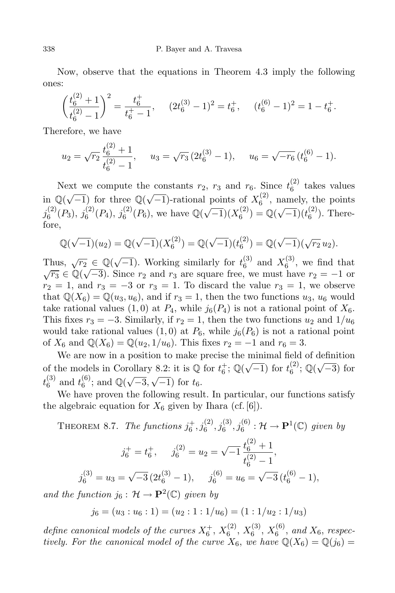Now, observe that the equations in Theorem 4.3 imply the following ones:

$$
\left(\frac{t_6^{(2)}+1}{t_6^{(2)}-1}\right)^2 = \frac{t_6^+}{t_6^+-1}, \qquad (2t_6^{(3)}-1)^2 = t_6^+, \qquad (t_6^{(6)}-1)^2 = 1 - t_6^+.
$$

Therefore, we have

$$
u_2 = \sqrt{r_2} \frac{t_6^{(2)} + 1}{t_6^{(2)} - 1}, \quad u_3 = \sqrt{r_3} \left( 2t_6^{(3)} - 1 \right), \quad u_6 = \sqrt{-r_6} \left( t_6^{(6)} - 1 \right).
$$

Next we compute the constants  $r_2$ ,  $r_3$  and  $r_6$ . Since  $t_6^{(2)}$  $6^{(2)}$  takes values in  $\mathbb{Q}(\sqrt{-1})$  for three  $\mathbb{Q}(\sqrt{-1})$ -rational points of  $X_6^{(2)}$  $_{6}^{(2)}$ , namely, the points  $j_6^{(2)}$  $j_6^{(2)}(P_3), j_6^{(2)}$  $j_6^{(2)}(P_4), j_6^{(2)}$  $^{(2)}_{6}(P_6)$ , we have  $\mathbb{Q}(\sqrt{-1})(X_6^{(2)})$  $\mathcal{L}_6^{(2)}$ ) = Q( $\sqrt{-1}$ )( $t_6^{(2)}$  $_{6}^{(2)}$ ). Therefore,

$$
\mathbb{Q}(\sqrt{-1})(u_2) = \mathbb{Q}(\sqrt{-1})(X_6^{(2)}) = \mathbb{Q}(\sqrt{-1})(t_6^{(2)}) = \mathbb{Q}(\sqrt{-1})(\sqrt{r_2}u_2).
$$

Thus,  $\sqrt{r_2} \in \mathbb{Q}(\sqrt{-1})$ . Working similarly for  $t_6^{(3)}$  $_{6}^{(3)}$  and  $X_{6}^{(3)}$  $_6^{\circ}$ , we find that  $\sqrt{r_3} \in \mathbb{Q}(\sqrt{-3})$ . Since  $r_2$  and  $r_3$  are square free, we must have  $r_2 = -1$  or  $r_2 = 1$ , and  $r_3 = -3$  or  $r_3 = 1$ . To discard the value  $r_3 = 1$ , we observe that  $\mathbb{Q}(X_6) = \mathbb{Q}(u_3, u_6)$ , and if  $r_3 = 1$ , then the two functions  $u_3, u_6$  would take rational values (1,0) at  $P_4$ , while  $j_6(P_4)$  is not a rational point of  $X_6$ . This fixes  $r_3 = -3$ . Similarly, if  $r_2 = 1$ , then the two functions  $u_2$  and  $1/u_6$ would take rational values  $(1,0)$  at  $P_6$ , while  $j_6(P_6)$  is not a rational point of  $X_6$  and  $\mathbb{Q}(X_6) = \mathbb{Q}(u_2, 1/u_6)$ . This fixes  $r_2 = -1$  and  $r_6 = 3$ .

We are now in a position to make precise the minimal field of definition of the models in Corollary 8.2: it is  $\overline{\mathbb{Q}}$  for  $t_6^+$ ;  $\overline{\mathbb{Q}}(\sqrt{-1})$  for  $t_6^{(2)}$  $_{6}^{(2)}$ ;  $\mathbb{Q}(\sqrt{-3})$  for  $t_6^{(3)}$  $_6^{(3)}$  and  $t_6^{(6)}$  $_{6}^{(6)}$ ; and  $\mathbb{Q}(\sqrt{-3}, \sqrt{-1})$  for  $t_6$ .

We have proven the following result. In particular, our functions satisfy the algebraic equation for  $X_6$  given by Ihara (cf. [6]).

THEOREM 8.7. The functions  $j_6^+, j_6^{(2)}, j_6^{(3)}, j_6^{(6)} : \mathcal{H} \to \mathbf{P}^1(\mathbb{C})$  given by

$$
j_6^+ = t_6^+,
$$
  $j_6^{(2)} = u_2 = \sqrt{-1} \frac{t_6^{(2)} + 1}{t_6^{(2)} - 1},$   
 $j_6^{(3)} = u_3 = \sqrt{-3} (2t_6^{(3)} - 1),$   $j_6^{(6)} = u_6 = \sqrt{-3} (t_6^{(6)} - 1),$ 

and the function  $j_6: \mathcal{H} \to \mathbf{P}^2(\mathbb{C})$  given by

$$
j_6 = (u_3 : u_6 : 1) = (u_2 : 1 : 1/u_6) = (1 : 1/u_2 : 1/u_3)
$$

define canonical models of the curves  $X_6^+$ ,  $X_6^{(2)}$  $\binom{2}{6}, X_6^{(3)}$  $\binom{(3)}{6}, X_6^{(6)}$  $_{6}^{\circ}$ <sup>(o)</sup>, and  $X_6$ , respectively. For the canonical model of the curve  $X_6$ , we have  $\mathbb{Q}(X_6) = \mathbb{Q}(j_6) =$